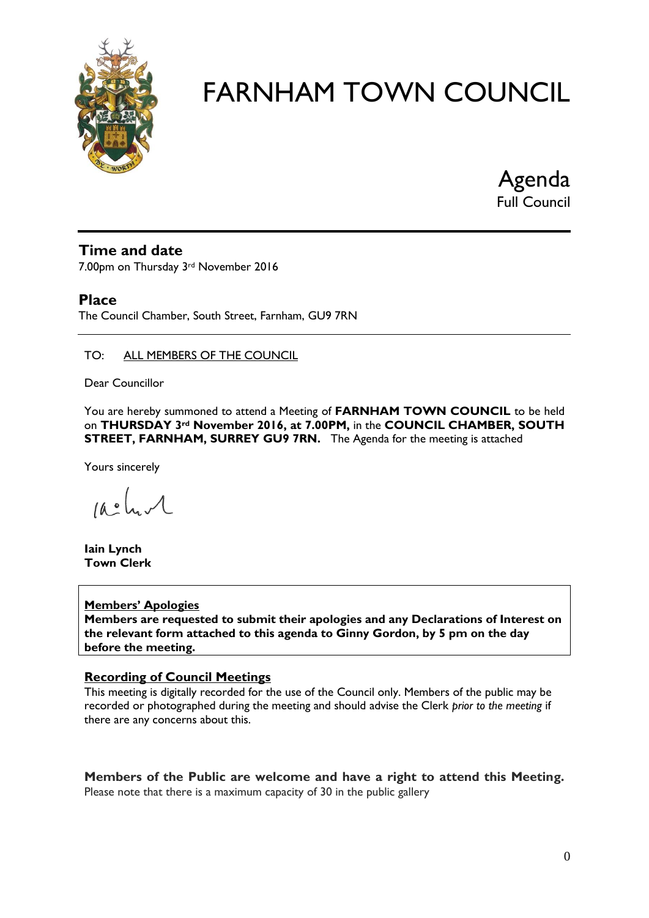

Agenda Full Council

#### **Time and date**

7.00pm on Thursday 3rd November 2016

### **Place**

The Council Chamber, South Street, Farnham, GU9 7RN

#### TO: ALL MEMBERS OF THE COUNCIL

Dear Councillor

You are hereby summoned to attend a Meeting of **FARNHAM TOWN COUNCIL** to be held on **THURSDAY 3rd November 2016, at 7.00PM,** in the **COUNCIL CHAMBER, SOUTH STREET, FARNHAM, SURREY GU9 7RN.** The Agenda for the meeting is attached

Yours sincerely

 $10.0$ 

**Iain Lynch Town Clerk**

#### **Members' Apologies**

**Members are requested to submit their apologies and any Declarations of Interest on the relevant form attached to this agenda to Ginny Gordon, by 5 pm on the day before the meeting.**

#### **Recording of Council Meetings**

This meeting is digitally recorded for the use of the Council only. Members of the public may be recorded or photographed during the meeting and should advise the Clerk *prior to the meeting* if there are any concerns about this.

**Members of the Public are welcome and have a right to attend this Meeting.**  Please note that there is a maximum capacity of 30 in the public gallery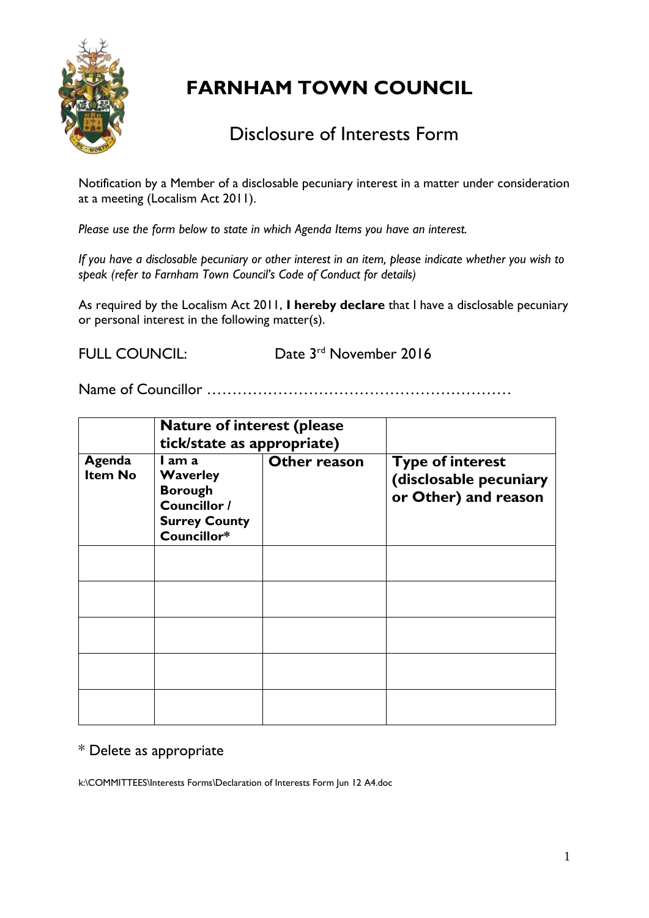

## Disclosure of Interests Form

Notification by a Member of a disclosable pecuniary interest in a matter under consideration at a meeting (Localism Act 2011).

*Please use the form below to state in which Agenda Items you have an interest.* 

*If you have a disclosable pecuniary or other interest in an item, please indicate whether you wish to speak (refer to Farnham Town Council's Code of Conduct for details)*

As required by the Localism Act 2011, **I hereby declare** that I have a disclosable pecuniary or personal interest in the following matter(s).

FULL COUNCIL:

Date 3<sup>rd</sup> November 2016

Name of Councillor ……………………………………………………

|                          | <b>Nature of interest (please</b><br>tick/state as appropriate)                                    |              |                                                                           |
|--------------------------|----------------------------------------------------------------------------------------------------|--------------|---------------------------------------------------------------------------|
| Agenda<br><b>Item No</b> | I am a<br><b>Waverley</b><br><b>Borough</b><br>Councillor /<br><b>Surrey County</b><br>Councillor* | Other reason | <b>Type of interest</b><br>(disclosable pecuniary<br>or Other) and reason |
|                          |                                                                                                    |              |                                                                           |
|                          |                                                                                                    |              |                                                                           |
|                          |                                                                                                    |              |                                                                           |
|                          |                                                                                                    |              |                                                                           |
|                          |                                                                                                    |              |                                                                           |

## \* Delete as appropriate

k:\COMMITTEES\Interests Forms\Declaration of Interests Form Jun 12 A4.doc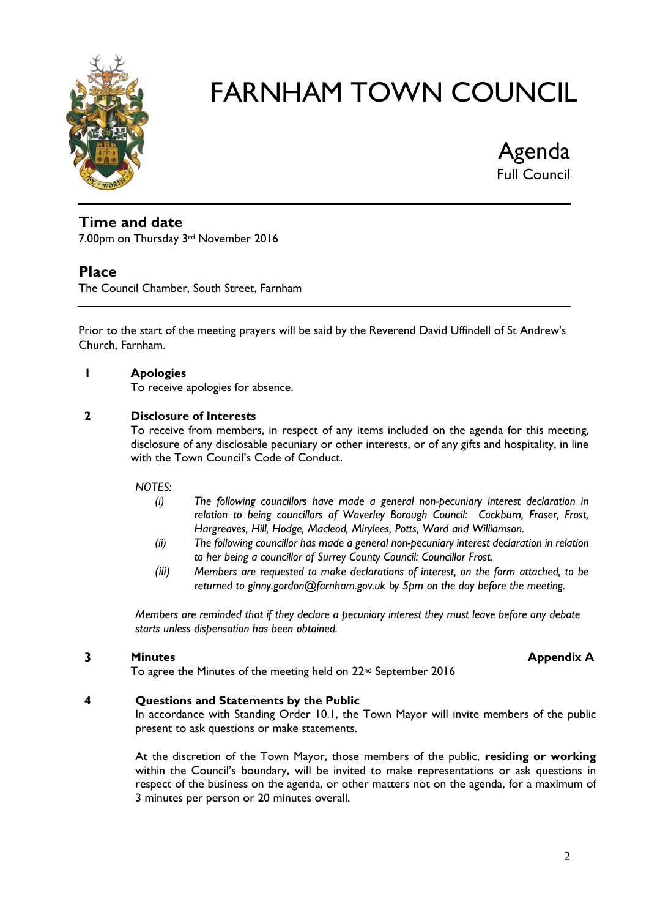

Agenda Full Council

## **Time and date**

7.00pm on Thursday 3rd November 2016

#### **Place**

The Council Chamber, South Street, Farnham

Prior to the start of the meeting prayers will be said by the Reverend David Uffindell of St Andrew's Church, Farnham.

#### **1 Apologies**

To receive apologies for absence.

#### **2 Disclosure of Interests**

To receive from members, in respect of any items included on the agenda for this meeting, disclosure of any disclosable pecuniary or other interests, or of any gifts and hospitality, in line with the Town Council's Code of Conduct.

#### *NOTES:*

- *(i) The following councillors have made a general non-pecuniary interest declaration in relation to being councillors of Waverley Borough Council: Cockburn, Fraser, Frost, Hargreaves, Hill, Hodge, Macleod, Mirylees, Potts, Ward and Williamson.*
- *(ii) The following councillor has made a general non-pecuniary interest declaration in relation to her being a councillor of Surrey County Council: Councillor Frost.*
- *(iii) Members are requested to make declarations of interest, on the form attached, to be returned to ginny.gordon@farnham.gov.uk by 5pm on the day before the meeting.*

*Members are reminded that if they declare a pecuniary interest they must leave before any debate starts unless dispensation has been obtained.*

#### **3 Minutes Minutes Appendix A**

To agree the Minutes of the meeting held on 22nd September 2016

#### **4 Questions and Statements by the Public**

In accordance with Standing Order 10.1, the Town Mayor will invite members of the public present to ask questions or make statements.

At the discretion of the Town Mayor, those members of the public, **residing or working** within the Council's boundary, will be invited to make representations or ask questions in respect of the business on the agenda, or other matters not on the agenda, for a maximum of 3 minutes per person or 20 minutes overall.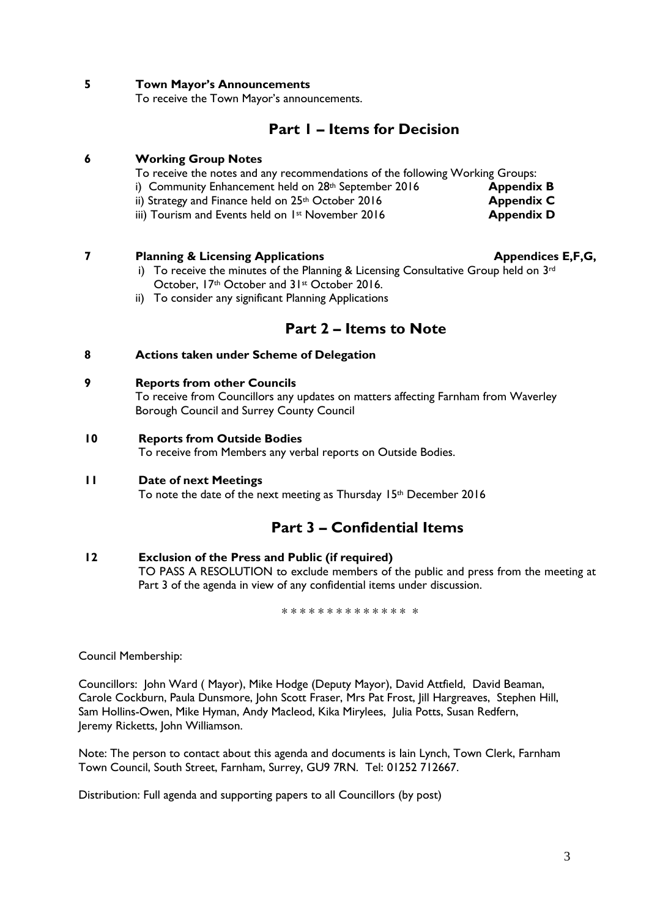#### **5 Town Mayor's Announcements**

To receive the Town Mayor's announcements.

## **Part 1 – Items for Decision**

#### **6 Working Group Notes**

To receive the notes and any recommendations of the following Working Groups:

- i) Community Enhancement held on 28<sup>th</sup> September 2016 **Appendix B**
- ii) Strategy and Finance held on 25<sup>th</sup> October 2016 **Appendix C**
- iii) Tourism and Events held on 1<sup>st</sup> November 2016 **Appendix D**

#### **7 Planning & Licensing Applications Appendices E,F,G,**

- i) To receive the minutes of the Planning & Licensing Consultative Group held on 3rd October, 17th October and 31st October 2016.
- ii) To consider any significant Planning Applications

## **Part 2 – Items to Note**

#### **8 Actions taken under Scheme of Delegation**

#### **9 Reports from other Councils**

To receive from Councillors any updates on matters affecting Farnham from Waverley Borough Council and Surrey County Council

#### **10 Reports from Outside Bodies**

To receive from Members any verbal reports on Outside Bodies.

#### **11 Date of next Meetings**

To note the date of the next meeting as Thursday 15th December 2016

## **Part 3 – Confidential Items**

#### **12 Exclusion of the Press and Public (if required)**

TO PASS A RESOLUTION to exclude members of the public and press from the meeting at Part 3 of the agenda in view of any confidential items under discussion.

\* \* \* \* \* \* \* \* \* \* \* \* \* \* \*

Council Membership:

Councillors: John Ward ( Mayor), Mike Hodge (Deputy Mayor), David Attfield, David Beaman, Carole Cockburn, Paula Dunsmore, John Scott Fraser, Mrs Pat Frost, Jill Hargreaves, Stephen Hill, Sam Hollins-Owen, Mike Hyman, Andy Macleod, Kika Mirylees, Julia Potts, Susan Redfern, Jeremy Ricketts, John Williamson.

Note: The person to contact about this agenda and documents is Iain Lynch, Town Clerk, Farnham Town Council, South Street, Farnham, Surrey, GU9 7RN. Tel: 01252 712667.

Distribution: Full agenda and supporting papers to all Councillors (by post)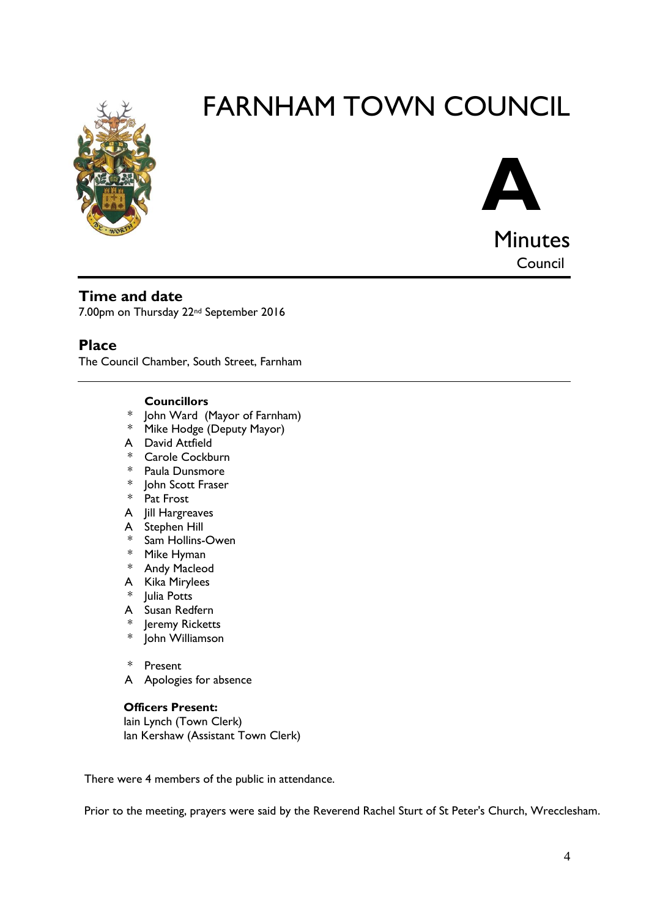



**Time and date**

7.00pm on Thursday 22nd September 2016

#### **Place**

The Council Chamber, South Street, Farnham

#### **Councillors**

- John Ward (Mayor of Farnham)
- \* Mike Hodge (Deputy Mayor)
- A David Attfield
- \* Carole Cockburn
- \* Paula Dunsmore
- \* John Scott Fraser
- \* Pat Frost
- A Jill Hargreaves
- A Stephen Hill
- \* Sam Hollins-Owen
- \* Mike Hyman
- \* Andy Macleod
- A Kika Mirylees
- \* Julia Potts
- A Susan Redfern
- \* Jeremy Ricketts
- \* John Williamson
- \* Present
- A Apologies for absence

#### **Officers Present:**

Iain Lynch (Town Clerk) Ian Kershaw (Assistant Town Clerk)

There were 4 members of the public in attendance.

Prior to the meeting, prayers were said by the Reverend Rachel Sturt of St Peter's Church, Wrecclesham.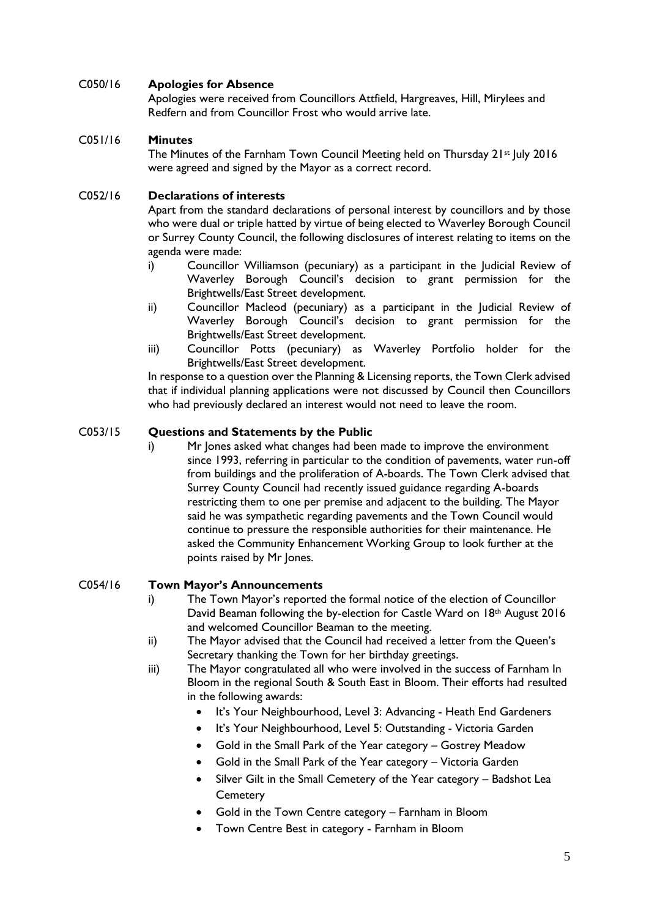#### C050/16 **Apologies for Absence**

Apologies were received from Councillors Attfield, Hargreaves, Hill, Mirylees and Redfern and from Councillor Frost who would arrive late.

#### C051/16 **Minutes**

The Minutes of the Farnham Town Council Meeting held on Thursday 21st July 2016 were agreed and signed by the Mayor as a correct record.

#### C052/16 **Declarations of interests**

Apart from the standard declarations of personal interest by councillors and by those who were dual or triple hatted by virtue of being elected to Waverley Borough Council or Surrey County Council, the following disclosures of interest relating to items on the agenda were made:

- i) Councillor Williamson (pecuniary) as a participant in the Judicial Review of Waverley Borough Council's decision to grant permission for the Brightwells/East Street development.
- ii) Councillor Macleod (pecuniary) as a participant in the Judicial Review of Waverley Borough Council's decision to grant permission for the Brightwells/East Street development.
- iii) Councillor Potts (pecuniary) as Waverley Portfolio holder for the Brightwells/East Street development.

In response to a question over the Planning & Licensing reports, the Town Clerk advised that if individual planning applications were not discussed by Council then Councillors who had previously declared an interest would not need to leave the room.

#### C053/15 **Questions and Statements by the Public**

i) Mr Jones asked what changes had been made to improve the environment since 1993, referring in particular to the condition of pavements, water run-off from buildings and the proliferation of A-boards. The Town Clerk advised that Surrey County Council had recently issued guidance regarding A-boards restricting them to one per premise and adjacent to the building. The Mayor said he was sympathetic regarding pavements and the Town Council would continue to pressure the responsible authorities for their maintenance. He asked the Community Enhancement Working Group to look further at the points raised by Mr Jones.

#### C054/16 **Town Mayor's Announcements**

- i) The Town Mayor's reported the formal notice of the election of Councillor David Beaman following the by-election for Castle Ward on 18th August 2016 and welcomed Councillor Beaman to the meeting.
- ii) The Mayor advised that the Council had received a letter from the Queen's Secretary thanking the Town for her birthday greetings.
- iii) The Mayor congratulated all who were involved in the success of Farnham In Bloom in the regional South & South East in Bloom. Their efforts had resulted in the following awards:
	- It's Your Neighbourhood, Level 3: Advancing Heath End Gardeners
	- It's Your Neighbourhood, Level 5: Outstanding Victoria Garden
	- Gold in the Small Park of the Year category Gostrey Meadow
	- Gold in the Small Park of the Year category Victoria Garden
	- Silver Gilt in the Small Cemetery of the Year category Badshot Lea **Cemetery**
	- Gold in the Town Centre category Farnham in Bloom
	- Town Centre Best in category Farnham in Bloom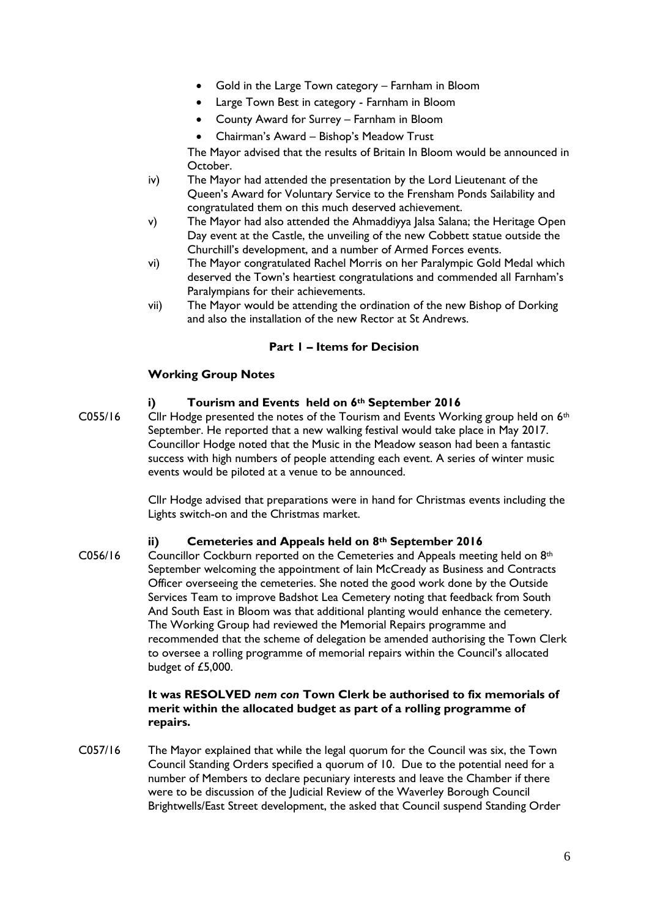- Gold in the Large Town category Farnham in Bloom
- Large Town Best in category Farnham in Bloom
- County Award for Surrey Farnham in Bloom
- Chairman's Award Bishop's Meadow Trust

The Mayor advised that the results of Britain In Bloom would be announced in October.

- iv) The Mayor had attended the presentation by the Lord Lieutenant of the Queen's Award for Voluntary Service to the Frensham Ponds Sailability and congratulated them on this much deserved achievement.
- v) The Mayor had also attended the Ahmaddiyya Jalsa Salana; the Heritage Open Day event at the Castle, the unveiling of the new Cobbett statue outside the Churchill's development, and a number of Armed Forces events.
- vi) The Mayor congratulated Rachel Morris on her Paralympic Gold Medal which deserved the Town's heartiest congratulations and commended all Farnham's Paralympians for their achievements.
- vii) The Mayor would be attending the ordination of the new Bishop of Dorking and also the installation of the new Rector at St Andrews.

#### **Part 1 – Items for Decision**

#### **Working Group Notes**

- **i) Tourism and Events held on 6th September 2016**
- C055/16 Cllr Hodge presented the notes of the Tourism and Events Working group held on  $6<sup>th</sup>$ September. He reported that a new walking festival would take place in May 2017. Councillor Hodge noted that the Music in the Meadow season had been a fantastic success with high numbers of people attending each event. A series of winter music events would be piloted at a venue to be announced.

Cllr Hodge advised that preparations were in hand for Christmas events including the Lights switch-on and the Christmas market.

#### **ii) Cemeteries and Appeals held on 8th September 2016**

 $C056/16$  Councillor Cockburn reported on the Cemeteries and Appeals meeting held on  $8<sup>th</sup>$ September welcoming the appointment of Iain McCready as Business and Contracts Officer overseeing the cemeteries. She noted the good work done by the Outside Services Team to improve Badshot Lea Cemetery noting that feedback from South And South East in Bloom was that additional planting would enhance the cemetery. The Working Group had reviewed the Memorial Repairs programme and recommended that the scheme of delegation be amended authorising the Town Clerk to oversee a rolling programme of memorial repairs within the Council's allocated budget of £5,000.

#### **It was RESOLVED** *nem con* **Town Clerk be authorised to fix memorials of merit within the allocated budget as part of a rolling programme of repairs.**

C057/16 The Mayor explained that while the legal quorum for the Council was six, the Town Council Standing Orders specified a quorum of 10. Due to the potential need for a number of Members to declare pecuniary interests and leave the Chamber if there were to be discussion of the Judicial Review of the Waverley Borough Council Brightwells/East Street development, the asked that Council suspend Standing Order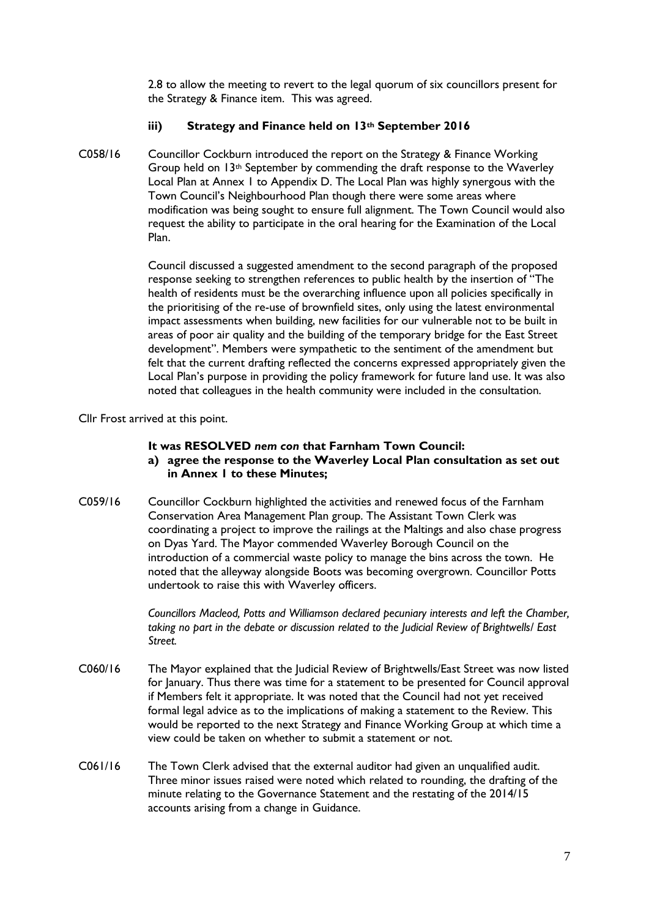2.8 to allow the meeting to revert to the legal quorum of six councillors present for the Strategy & Finance item. This was agreed.

#### **iii) Strategy and Finance held on 13th September 2016**

C058/16 Councillor Cockburn introduced the report on the Strategy & Finance Working Group held on  $13<sup>th</sup>$  September by commending the draft response to the Waverley Local Plan at Annex 1 to Appendix D. The Local Plan was highly synergous with the Town Council's Neighbourhood Plan though there were some areas where modification was being sought to ensure full alignment. The Town Council would also request the ability to participate in the oral hearing for the Examination of the Local Plan.

> Council discussed a suggested amendment to the second paragraph of the proposed response seeking to strengthen references to public health by the insertion of "The health of residents must be the overarching influence upon all policies specifically in the prioritising of the re-use of brownfield sites, only using the latest environmental impact assessments when building, new facilities for our vulnerable not to be built in areas of poor air quality and the building of the temporary bridge for the East Street development". Members were sympathetic to the sentiment of the amendment but felt that the current drafting reflected the concerns expressed appropriately given the Local Plan's purpose in providing the policy framework for future land use. It was also noted that colleagues in the health community were included in the consultation.

Cllr Frost arrived at this point.

#### **It was RESOLVED** *nem con* **that Farnham Town Council:**

- **a) agree the response to the Waverley Local Plan consultation as set out in Annex 1 to these Minutes;**
- C059/16 Councillor Cockburn highlighted the activities and renewed focus of the Farnham Conservation Area Management Plan group. The Assistant Town Clerk was coordinating a project to improve the railings at the Maltings and also chase progress on Dyas Yard. The Mayor commended Waverley Borough Council on the introduction of a commercial waste policy to manage the bins across the town. He noted that the alleyway alongside Boots was becoming overgrown. Councillor Potts undertook to raise this with Waverley officers.

*Councillors Macleod, Potts and Williamson declared pecuniary interests and left the Chamber, taking no part in the debate or discussion related to the Judicial Review of Brightwells/ East Street.*

- C060/16 The Mayor explained that the Judicial Review of Brightwells/East Street was now listed for January. Thus there was time for a statement to be presented for Council approval if Members felt it appropriate. It was noted that the Council had not yet received formal legal advice as to the implications of making a statement to the Review. This would be reported to the next Strategy and Finance Working Group at which time a view could be taken on whether to submit a statement or not.
- C061/16 The Town Clerk advised that the external auditor had given an unqualified audit. Three minor issues raised were noted which related to rounding, the drafting of the minute relating to the Governance Statement and the restating of the 2014/15 accounts arising from a change in Guidance.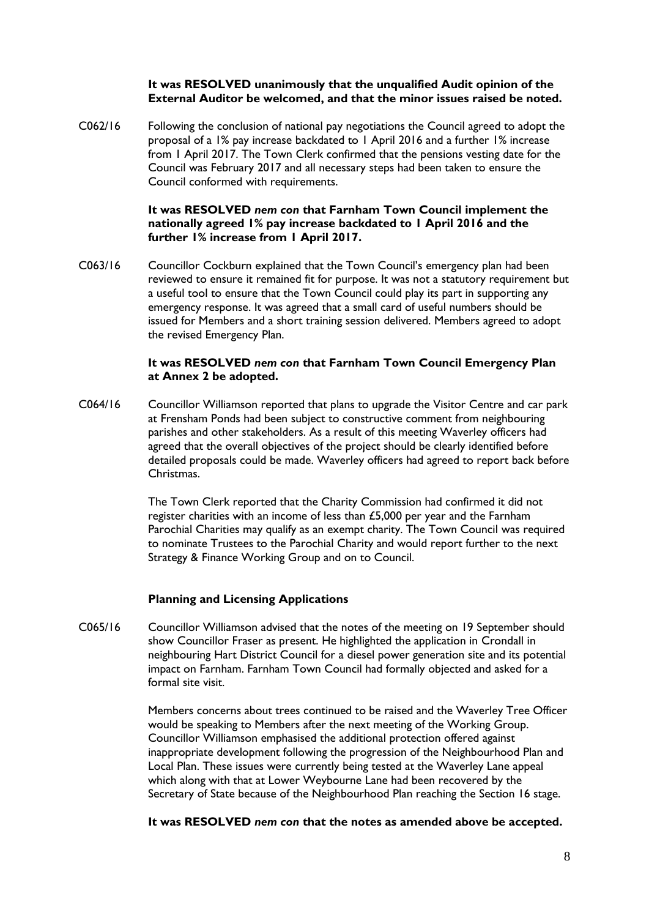#### **It was RESOLVED unanimously that the unqualified Audit opinion of the External Auditor be welcomed, and that the minor issues raised be noted.**

C062/16 Following the conclusion of national pay negotiations the Council agreed to adopt the proposal of a 1% pay increase backdated to 1 April 2016 and a further 1% increase from 1 April 2017. The Town Clerk confirmed that the pensions vesting date for the Council was February 2017 and all necessary steps had been taken to ensure the Council conformed with requirements.

#### **It was RESOLVED** *nem con* **that Farnham Town Council implement the nationally agreed 1% pay increase backdated to 1 April 2016 and the further 1% increase from 1 April 2017.**

C063/16 Councillor Cockburn explained that the Town Council's emergency plan had been reviewed to ensure it remained fit for purpose. It was not a statutory requirement but a useful tool to ensure that the Town Council could play its part in supporting any emergency response. It was agreed that a small card of useful numbers should be issued for Members and a short training session delivered. Members agreed to adopt the revised Emergency Plan.

#### **It was RESOLVED** *nem con* **that Farnham Town Council Emergency Plan at Annex 2 be adopted.**

C064/16 Councillor Williamson reported that plans to upgrade the Visitor Centre and car park at Frensham Ponds had been subject to constructive comment from neighbouring parishes and other stakeholders. As a result of this meeting Waverley officers had agreed that the overall objectives of the project should be clearly identified before detailed proposals could be made. Waverley officers had agreed to report back before Christmas.

> The Town Clerk reported that the Charity Commission had confirmed it did not register charities with an income of less than £5,000 per year and the Farnham Parochial Charities may qualify as an exempt charity. The Town Council was required to nominate Trustees to the Parochial Charity and would report further to the next Strategy & Finance Working Group and on to Council.

#### **Planning and Licensing Applications**

C065/16 Councillor Williamson advised that the notes of the meeting on 19 September should show Councillor Fraser as present. He highlighted the application in Crondall in neighbouring Hart District Council for a diesel power generation site and its potential impact on Farnham. Farnham Town Council had formally objected and asked for a formal site visit.

> Members concerns about trees continued to be raised and the Waverley Tree Officer would be speaking to Members after the next meeting of the Working Group. Councillor Williamson emphasised the additional protection offered against inappropriate development following the progression of the Neighbourhood Plan and Local Plan. These issues were currently being tested at the Waverley Lane appeal which along with that at Lower Weybourne Lane had been recovered by the Secretary of State because of the Neighbourhood Plan reaching the Section 16 stage.

**It was RESOLVED** *nem con* **that the notes as amended above be accepted.**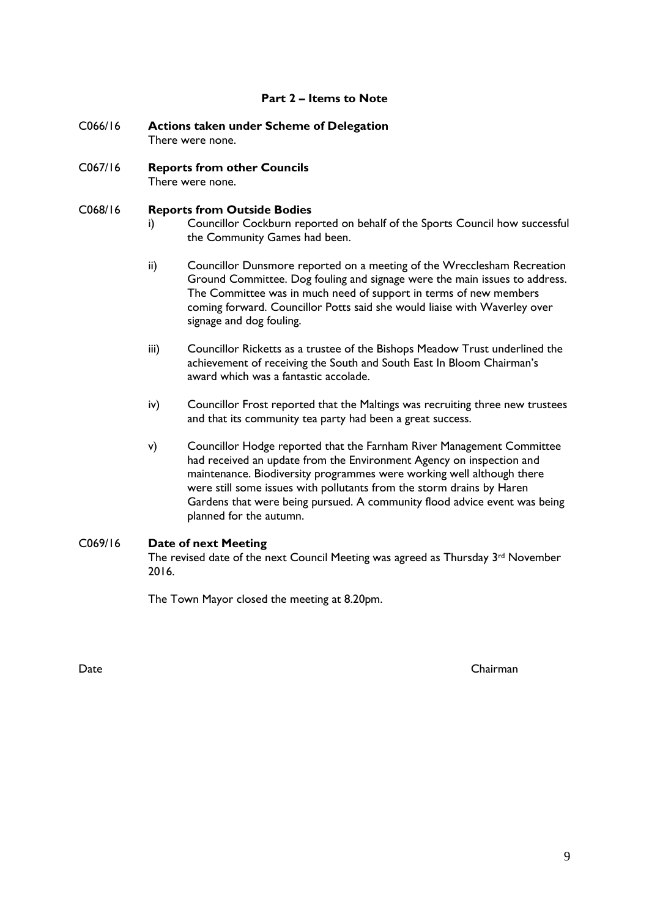#### **Part 2 – Items to Note**

- C066/16 **Actions taken under Scheme of Delegation** There were none.
- C067/16 **Reports from other Councils** There were none.

#### C068/16 **Reports from Outside Bodies**

- i) Councillor Cockburn reported on behalf of the Sports Council how successful the Community Games had been.
- ii) Councillor Dunsmore reported on a meeting of the Wrecclesham Recreation Ground Committee. Dog fouling and signage were the main issues to address. The Committee was in much need of support in terms of new members coming forward. Councillor Potts said she would liaise with Waverley over signage and dog fouling.
- iii) Councillor Ricketts as a trustee of the Bishops Meadow Trust underlined the achievement of receiving the South and South East In Bloom Chairman's award which was a fantastic accolade.
- iv) Councillor Frost reported that the Maltings was recruiting three new trustees and that its community tea party had been a great success.
- v) Councillor Hodge reported that the Farnham River Management Committee had received an update from the Environment Agency on inspection and maintenance. Biodiversity programmes were working well although there were still some issues with pollutants from the storm drains by Haren Gardens that were being pursued. A community flood advice event was being planned for the autumn.

#### C069/16 **Date of next Meeting**

The revised date of the next Council Meeting was agreed as Thursday 3rd November 2016.

The Town Mayor closed the meeting at 8.20pm.

Date Chairman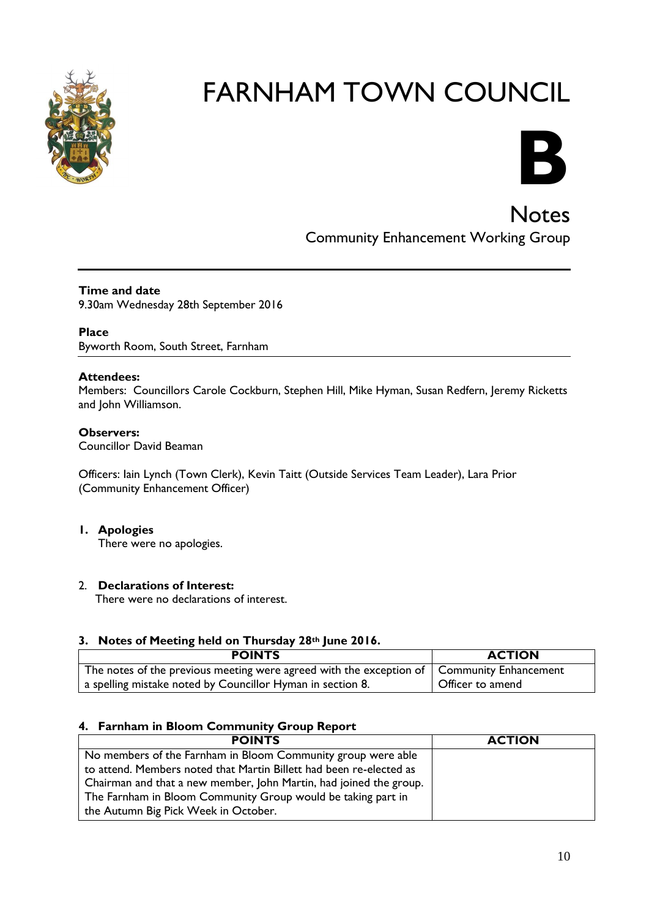



**Notes** Community Enhancement Working Group

#### **Time and date** 9.30am Wednesday 28th September 2016

#### **Place**

Byworth Room, South Street, Farnham

#### **Attendees:**

Members: Councillors Carole Cockburn, Stephen Hill, Mike Hyman, Susan Redfern, Jeremy Ricketts and John Williamson.

#### **Observers:**

Councillor David Beaman

Officers: Iain Lynch (Town Clerk), Kevin Taitt (Outside Services Team Leader), Lara Prior (Community Enhancement Officer)

#### **1. Apologies**

There were no apologies.

#### 2. **Declarations of Interest:**

There were no declarations of interest.

#### **3. Notes of Meeting held on Thursday 28th June 2016.**

| <b>POINTS</b>                                                                               | <b>ACTION</b>    |
|---------------------------------------------------------------------------------------------|------------------|
| The notes of the previous meeting were agreed with the exception of   Community Enhancement |                  |
| a spelling mistake noted by Councillor Hyman in section 8.                                  | Officer to amend |

#### **4. Farnham in Bloom Community Group Report**

| <b>POINTS</b>                                                       | <b>ACTION</b> |
|---------------------------------------------------------------------|---------------|
| No members of the Farnham in Bloom Community group were able        |               |
| to attend. Members noted that Martin Billett had been re-elected as |               |
| Chairman and that a new member, John Martin, had joined the group.  |               |
| The Farnham in Bloom Community Group would be taking part in        |               |
| the Autumn Big Pick Week in October.                                |               |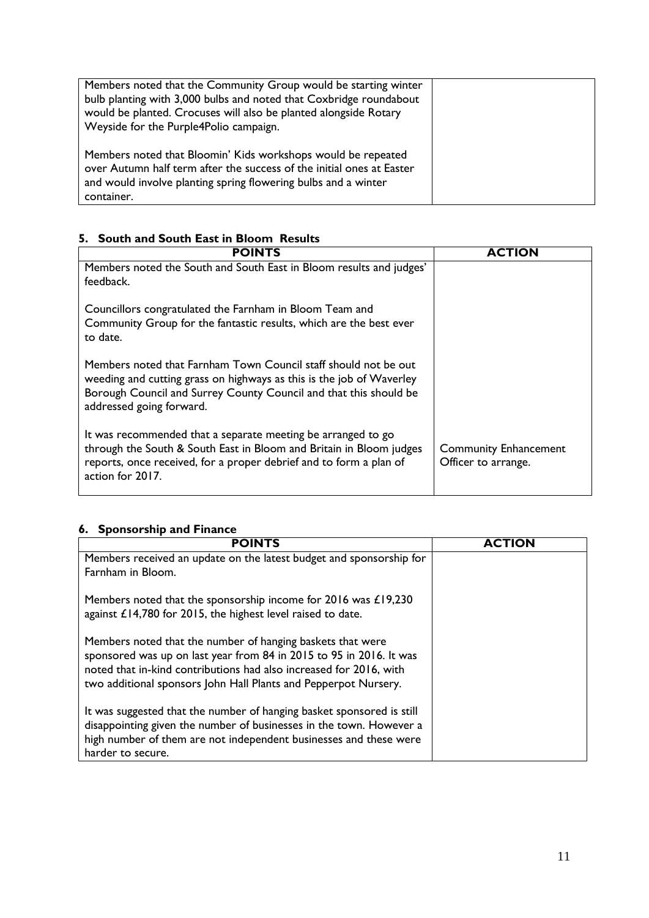| Members noted that the Community Group would be starting winter<br>bulb planting with 3,000 bulbs and noted that Coxbridge roundabout<br>would be planted. Crocuses will also be planted alongside Rotary<br>Weyside for the Purple4Polio campaign. |  |
|-----------------------------------------------------------------------------------------------------------------------------------------------------------------------------------------------------------------------------------------------------|--|
| Members noted that Bloomin' Kids workshops would be repeated<br>over Autumn half term after the success of the initial ones at Easter<br>and would involve planting spring flowering bulbs and a winter<br>container.                               |  |

### **5. South and South East in Bloom Results**

| <b>POINTS</b>                                                                                                                                                                                                                            | <b>ACTION</b>                                       |
|------------------------------------------------------------------------------------------------------------------------------------------------------------------------------------------------------------------------------------------|-----------------------------------------------------|
| Members noted the South and South East in Bloom results and judges'<br>feedback.                                                                                                                                                         |                                                     |
| Councillors congratulated the Farnham in Bloom Team and<br>Community Group for the fantastic results, which are the best ever<br>to date.                                                                                                |                                                     |
| Members noted that Farnham Town Council staff should not be out<br>weeding and cutting grass on highways as this is the job of Waverley<br>Borough Council and Surrey County Council and that this should be<br>addressed going forward. |                                                     |
| It was recommended that a separate meeting be arranged to go<br>through the South & South East in Bloom and Britain in Bloom judges<br>reports, once received, for a proper debrief and to form a plan of<br>action for 2017.            | <b>Community Enhancement</b><br>Officer to arrange. |

## **6. Sponsorship and Finance**

| <b>POINTS</b>                                                                                                                                                                                                                                                              | ΓΙΟΝ |
|----------------------------------------------------------------------------------------------------------------------------------------------------------------------------------------------------------------------------------------------------------------------------|------|
| Members received an update on the latest budget and sponsorship for                                                                                                                                                                                                        |      |
| Farnham in Bloom.                                                                                                                                                                                                                                                          |      |
| Members noted that the sponsorship income for 2016 was £19,230<br>against £14,780 for 2015, the highest level raised to date.                                                                                                                                              |      |
| Members noted that the number of hanging baskets that were<br>sponsored was up on last year from 84 in 2015 to 95 in 2016. It was<br>noted that in-kind contributions had also increased for 2016, with<br>two additional sponsors John Hall Plants and Pepperpot Nursery. |      |
| It was suggested that the number of hanging basket sponsored is still<br>disappointing given the number of businesses in the town. However a<br>high number of them are not independent businesses and these were<br>harder to secure.                                     |      |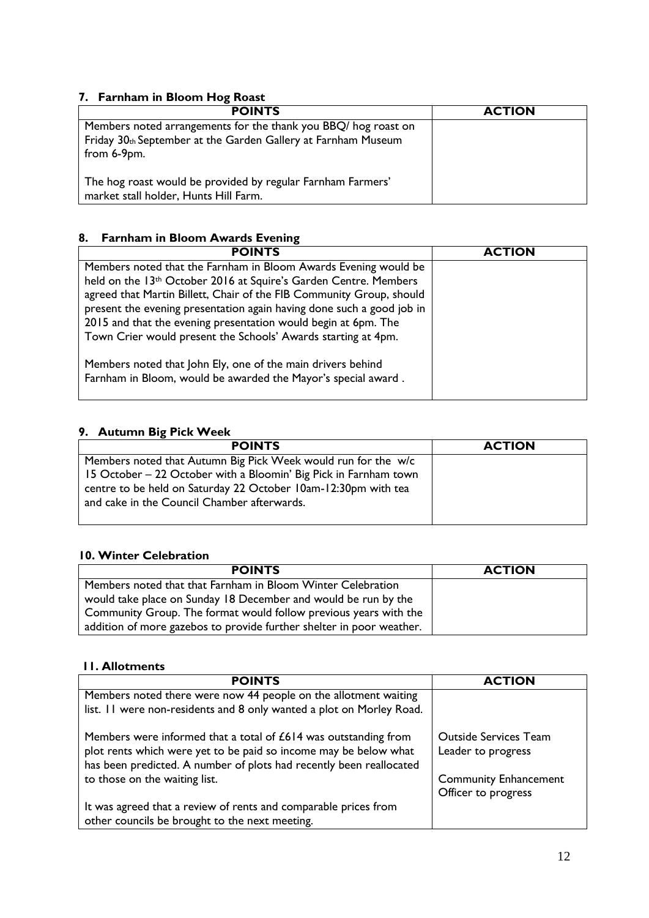#### **7. Farnham in Bloom Hog Roast**

| <b>POINTS</b>                                                                | <b>ACTION</b> |
|------------------------------------------------------------------------------|---------------|
| Members noted arrangements for the thank you BBQ/ hog roast on               |               |
| Friday 30th September at the Garden Gallery at Farnham Museum<br>from 6-9pm. |               |
| The hog roast would be provided by regular Farnham Farmers'                  |               |
| market stall holder, Hunts Hill Farm.                                        |               |

#### **8. Farnham in Bloom Awards Evening**

| <b>POINTS</b>                                                         | <b>ACTION</b> |
|-----------------------------------------------------------------------|---------------|
| Members noted that the Farnham in Bloom Awards Evening would be       |               |
| held on the 13th October 2016 at Squire's Garden Centre. Members      |               |
| agreed that Martin Billett, Chair of the FIB Community Group, should  |               |
| present the evening presentation again having done such a good job in |               |
| 2015 and that the evening presentation would begin at 6pm. The        |               |
| Town Crier would present the Schools' Awards starting at 4pm.         |               |
|                                                                       |               |
| Members noted that John Ely, one of the main drivers behind           |               |
| Farnham in Bloom, would be awarded the Mayor's special award.         |               |
|                                                                       |               |

#### **9. Autumn Big Pick Week**

| <b>POINTS</b>                                                                                                                                                                                                                                      | <b>ACTION</b> |
|----------------------------------------------------------------------------------------------------------------------------------------------------------------------------------------------------------------------------------------------------|---------------|
| Members noted that Autumn Big Pick Week would run for the w/c<br>15 October – 22 October with a Bloomin' Big Pick in Farnham town<br>centre to be held on Saturday 22 October 10am-12:30pm with tea<br>and cake in the Council Chamber afterwards. |               |

#### **10. Winter Celebration**

| <b>POINTS</b>                                                        | <b>ACTION</b> |
|----------------------------------------------------------------------|---------------|
| Members noted that that Farnham in Bloom Winter Celebration          |               |
| would take place on Sunday 18 December and would be run by the       |               |
| Community Group. The format would follow previous years with the     |               |
| addition of more gazebos to provide further shelter in poor weather. |               |

#### **11. Allotments**

| <b>POINTS</b>                                                                                                                                                                                              | <b>ACTION</b>                                       |
|------------------------------------------------------------------------------------------------------------------------------------------------------------------------------------------------------------|-----------------------------------------------------|
| Members noted there were now 44 people on the allotment waiting                                                                                                                                            |                                                     |
| list. 11 were non-residents and 8 only wanted a plot on Morley Road.                                                                                                                                       |                                                     |
| Members were informed that a total of £614 was outstanding from<br>plot rents which were yet to be paid so income may be below what<br>has been predicted. A number of plots had recently been reallocated | <b>Outside Services Team</b><br>Leader to progress  |
| to those on the waiting list.                                                                                                                                                                              | <b>Community Enhancement</b><br>Officer to progress |
| It was agreed that a review of rents and comparable prices from<br>other councils be brought to the next meeting.                                                                                          |                                                     |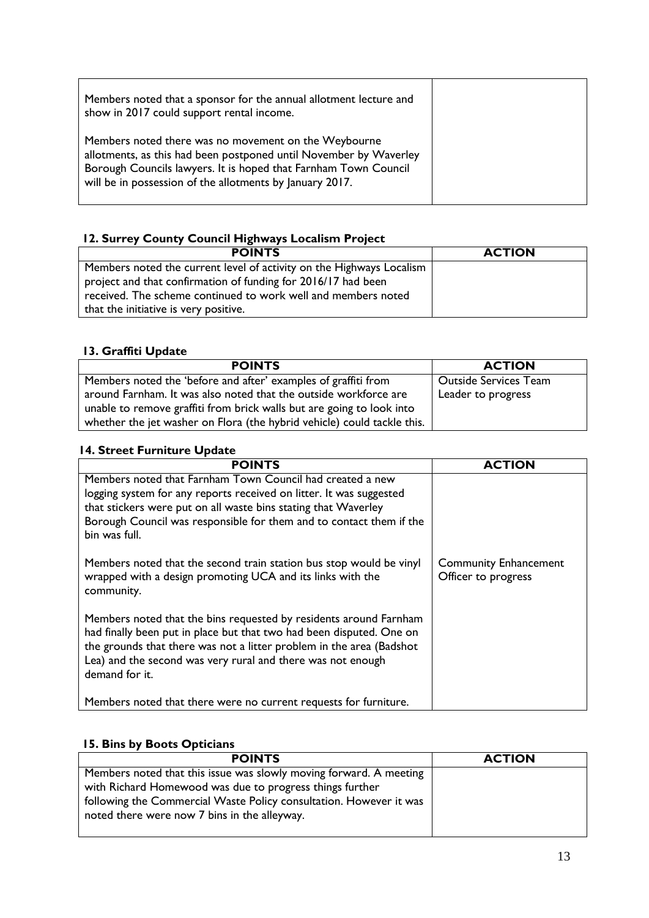| Members noted that a sponsor for the annual allotment lecture and<br>show in 2017 could support rental income.                                                                                                                                           |  |
|----------------------------------------------------------------------------------------------------------------------------------------------------------------------------------------------------------------------------------------------------------|--|
| Members noted there was no movement on the Weybourne<br>allotments, as this had been postponed until November by Waverley<br>Borough Councils lawyers. It is hoped that Farnham Town Council<br>will be in possession of the allotments by January 2017. |  |

### **12. Surrey County Council Highways Localism Project**

| <b>POINTS</b>                                                        | <b>ACTION</b> |
|----------------------------------------------------------------------|---------------|
| Members noted the current level of activity on the Highways Localism |               |
| project and that confirmation of funding for 2016/17 had been        |               |
| received. The scheme continued to work well and members noted        |               |
| that the initiative is very positive.                                |               |

#### **13. Graffiti Update**

| <b>POINTS</b>                                                           | <b>ACTION</b>                |
|-------------------------------------------------------------------------|------------------------------|
| Members noted the 'before and after' examples of graffiti from          | <b>Outside Services Team</b> |
| around Farnham. It was also noted that the outside workforce are        | Leader to progress           |
| unable to remove graffiti from brick walls but are going to look into   |                              |
| whether the jet washer on Flora (the hybrid vehicle) could tackle this. |                              |

#### **14. Street Furniture Update**

| <b>POINTS</b>                                                                                                                                                                                                                                                                                      | <b>ACTION</b>                                       |
|----------------------------------------------------------------------------------------------------------------------------------------------------------------------------------------------------------------------------------------------------------------------------------------------------|-----------------------------------------------------|
| Members noted that Farnham Town Council had created a new<br>logging system for any reports received on litter. It was suggested<br>that stickers were put on all waste bins stating that Waverley<br>Borough Council was responsible for them and to contact them if the<br>bin was full.         |                                                     |
| Members noted that the second train station bus stop would be vinyl<br>wrapped with a design promoting UCA and its links with the<br>community.                                                                                                                                                    | <b>Community Enhancement</b><br>Officer to progress |
| Members noted that the bins requested by residents around Farnham<br>had finally been put in place but that two had been disputed. One on<br>the grounds that there was not a litter problem in the area (Badshot<br>Lea) and the second was very rural and there was not enough<br>demand for it. |                                                     |
| Members noted that there were no current requests for furniture.                                                                                                                                                                                                                                   |                                                     |

#### **15. Bins by Boots Opticians**

| <b>POINTS</b>                                                                                                                                                                                                                                        | <b>ACTION</b> |
|------------------------------------------------------------------------------------------------------------------------------------------------------------------------------------------------------------------------------------------------------|---------------|
| Members noted that this issue was slowly moving forward. A meeting<br>with Richard Homewood was due to progress things further<br>following the Commercial Waste Policy consultation. However it was<br>noted there were now 7 bins in the alleyway. |               |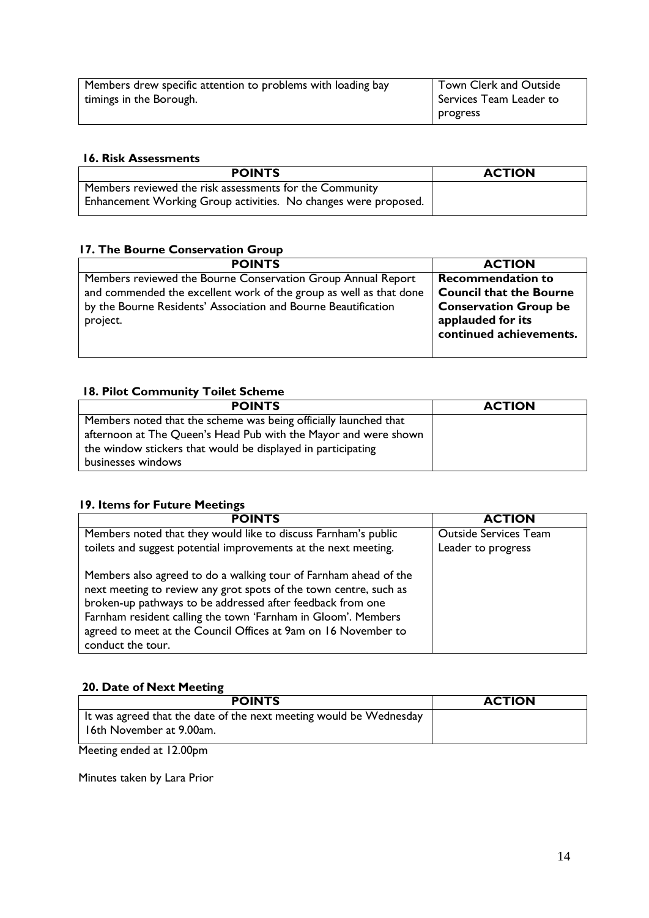| Members drew specific attention to problems with loading bay | Town Clerk and Outside  |
|--------------------------------------------------------------|-------------------------|
| timings in the Borough.                                      | Services Team Leader to |
|                                                              | progress                |

#### **16. Risk Assessments**

| <b>POINTS</b>                                                   | <b>ACTION</b> |
|-----------------------------------------------------------------|---------------|
| Members reviewed the risk assessments for the Community         |               |
| Enhancement Working Group activities. No changes were proposed. |               |

### **17. The Bourne Conservation Group**

| <b>POINTS</b>                                                      | <b>ACTION</b>                  |
|--------------------------------------------------------------------|--------------------------------|
| Members reviewed the Bourne Conservation Group Annual Report       | <b>Recommendation to</b>       |
| and commended the excellent work of the group as well as that done | <b>Council that the Bourne</b> |
| by the Bourne Residents' Association and Bourne Beautification     | <b>Conservation Group be</b>   |
| project.                                                           | applauded for its              |
|                                                                    | continued achievements.        |
|                                                                    |                                |

### **18. Pilot Community Toilet Scheme**

| <b>POINTS</b>                                                    | <b>ACTION</b> |
|------------------------------------------------------------------|---------------|
| Members noted that the scheme was being officially launched that |               |
| afternoon at The Queen's Head Pub with the Mayor and were shown  |               |
| the window stickers that would be displayed in participating     |               |
| businesses windows                                               |               |

#### **19. Items for Future Meetings**

| <b>POINTS</b>                                                                                                                                                                                                                                                                                                                                               | <b>ACTION</b>                |
|-------------------------------------------------------------------------------------------------------------------------------------------------------------------------------------------------------------------------------------------------------------------------------------------------------------------------------------------------------------|------------------------------|
| Members noted that they would like to discuss Farnham's public                                                                                                                                                                                                                                                                                              | <b>Outside Services Team</b> |
| toilets and suggest potential improvements at the next meeting.                                                                                                                                                                                                                                                                                             | Leader to progress           |
| Members also agreed to do a walking tour of Farnham ahead of the<br>next meeting to review any grot spots of the town centre, such as<br>broken-up pathways to be addressed after feedback from one<br>Farnham resident calling the town 'Farnham in Gloom'. Members<br>agreed to meet at the Council Offices at 9am on 16 November to<br>conduct the tour. |                              |

#### **20. Date of Next Meeting**

| <b>POINTS</b>                                                                                  | <b>ACTION</b> |
|------------------------------------------------------------------------------------------------|---------------|
| It was agreed that the date of the next meeting would be Wednesday<br>16th November at 9.00am. |               |

Meeting ended at 12.00pm

Minutes taken by Lara Prior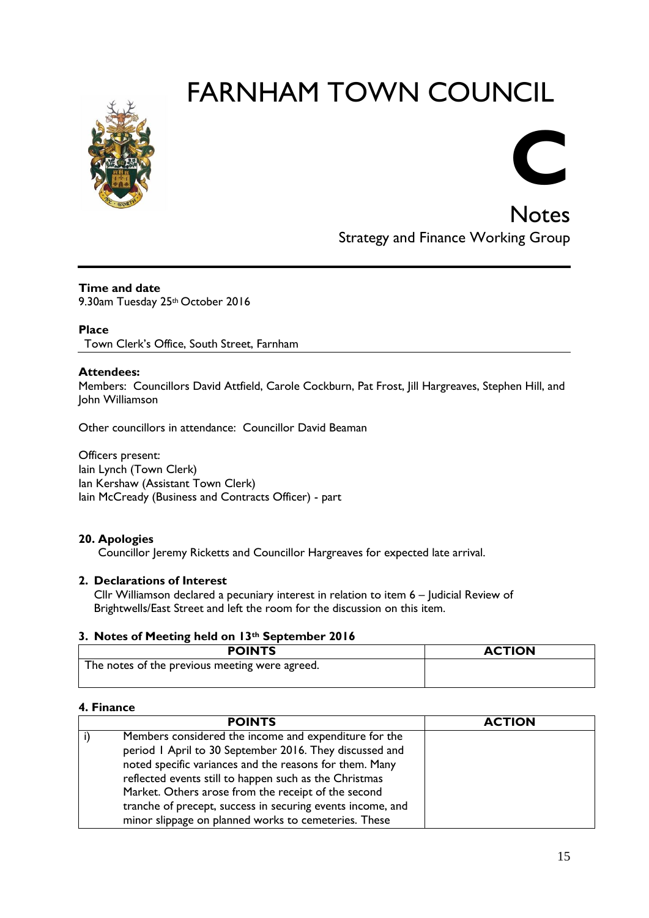

# **C**

**Notes** Strategy and Finance Working Group

#### **Time and date**

9.30am Tuesday 25th October 2016

#### **Place**

Town Clerk's Office, South Street, Farnham

#### **Attendees:**

Members: Councillors David Attfield, Carole Cockburn, Pat Frost, Jill Hargreaves, Stephen Hill, and John Williamson

Other councillors in attendance: Councillor David Beaman

Officers present: Iain Lynch (Town Clerk) Ian Kershaw (Assistant Town Clerk) Iain McCready (Business and Contracts Officer) - part

#### **20. Apologies**

Councillor Jeremy Ricketts and Councillor Hargreaves for expected late arrival.

#### **2. Declarations of Interest**

Cllr Williamson declared a pecuniary interest in relation to item 6 – Judicial Review of Brightwells/East Street and left the room for the discussion on this item.

#### **3. Notes of Meeting held on 13th September 2016**

| <b>POINTS</b>                                  | <b>ACTION</b> |
|------------------------------------------------|---------------|
| The notes of the previous meeting were agreed. |               |

#### **4. Finance**

| <b>POINTS</b>                                              | <b>ACTION</b> |
|------------------------------------------------------------|---------------|
| Members considered the income and expenditure for the      |               |
| period 1 April to 30 September 2016. They discussed and    |               |
| noted specific variances and the reasons for them. Many    |               |
| reflected events still to happen such as the Christmas     |               |
| Market. Others arose from the receipt of the second        |               |
| tranche of precept, success in securing events income, and |               |
| minor slippage on planned works to cemeteries. These       |               |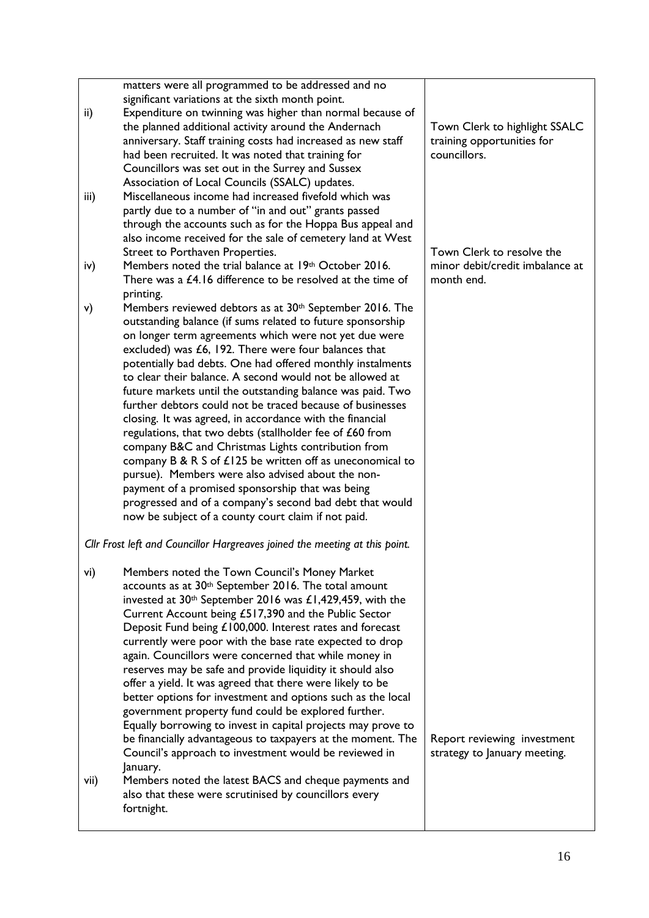|      | matters were all programmed to be addressed and no                          |                                 |
|------|-----------------------------------------------------------------------------|---------------------------------|
|      | significant variations at the sixth month point.                            |                                 |
| ii)  | Expenditure on twinning was higher than normal because of                   |                                 |
|      | the planned additional activity around the Andernach                        | Town Clerk to highlight SSALC   |
|      | anniversary. Staff training costs had increased as new staff                | training opportunities for      |
|      |                                                                             | councillors.                    |
|      | had been recruited. It was noted that training for                          |                                 |
|      | Councillors was set out in the Surrey and Sussex                            |                                 |
|      | Association of Local Councils (SSALC) updates.                              |                                 |
| iii) | Miscellaneous income had increased fivefold which was                       |                                 |
|      | partly due to a number of "in and out" grants passed                        |                                 |
|      | through the accounts such as for the Hoppa Bus appeal and                   |                                 |
|      | also income received for the sale of cemetery land at West                  |                                 |
|      | Street to Porthaven Properties.                                             | Town Clerk to resolve the       |
|      |                                                                             | minor debit/credit imbalance at |
| iv)  | Members noted the trial balance at 19th October 2016.                       |                                 |
|      | There was a £4.16 difference to be resolved at the time of                  | month end.                      |
|      | printing.                                                                   |                                 |
| v)   | Members reviewed debtors as at 30 <sup>th</sup> September 2016. The         |                                 |
|      | outstanding balance (if sums related to future sponsorship                  |                                 |
|      | on longer term agreements which were not yet due were                       |                                 |
|      | excluded) was £6, 192. There were four balances that                        |                                 |
|      | potentially bad debts. One had offered monthly instalments                  |                                 |
|      |                                                                             |                                 |
|      | to clear their balance. A second would not be allowed at                    |                                 |
|      | future markets until the outstanding balance was paid. Two                  |                                 |
|      | further debtors could not be traced because of businesses                   |                                 |
|      | closing. It was agreed, in accordance with the financial                    |                                 |
|      | regulations, that two debts (stallholder fee of £60 from                    |                                 |
|      | company B&C and Christmas Lights contribution from                          |                                 |
|      | company B & R S of $£125$ be written off as uneconomical to                 |                                 |
|      |                                                                             |                                 |
|      | pursue). Members were also advised about the non-                           |                                 |
|      | payment of a promised sponsorship that was being                            |                                 |
|      | progressed and of a company's second bad debt that would                    |                                 |
|      | now be subject of a county court claim if not paid.                         |                                 |
|      |                                                                             |                                 |
|      | Cllr Frost left and Councillor Hargreaves joined the meeting at this point. |                                 |
| vi)  | Members noted the Town Council's Money Market                               |                                 |
|      |                                                                             |                                 |
|      | accounts as at 30 <sup>th</sup> September 2016. The total amount            |                                 |
|      | invested at 30 <sup>th</sup> September 2016 was £1,429,459, with the        |                                 |
|      | Current Account being £517,390 and the Public Sector                        |                                 |
|      | Deposit Fund being £100,000. Interest rates and forecast                    |                                 |
|      | currently were poor with the base rate expected to drop                     |                                 |
|      | again. Councillors were concerned that while money in                       |                                 |
|      | reserves may be safe and provide liquidity it should also                   |                                 |
|      | offer a yield. It was agreed that there were likely to be                   |                                 |
|      |                                                                             |                                 |
|      | better options for investment and options such as the local                 |                                 |
|      | government property fund could be explored further.                         |                                 |
|      | Equally borrowing to invest in capital projects may prove to                |                                 |
|      | be financially advantageous to taxpayers at the moment. The                 | Report reviewing investment     |
|      | Council's approach to investment would be reviewed in                       | strategy to January meeting.    |
|      | January.                                                                    |                                 |
| vii) | Members noted the latest BACS and cheque payments and                       |                                 |
|      | also that these were scrutinised by councillors every                       |                                 |
|      |                                                                             |                                 |
|      | fortnight.                                                                  |                                 |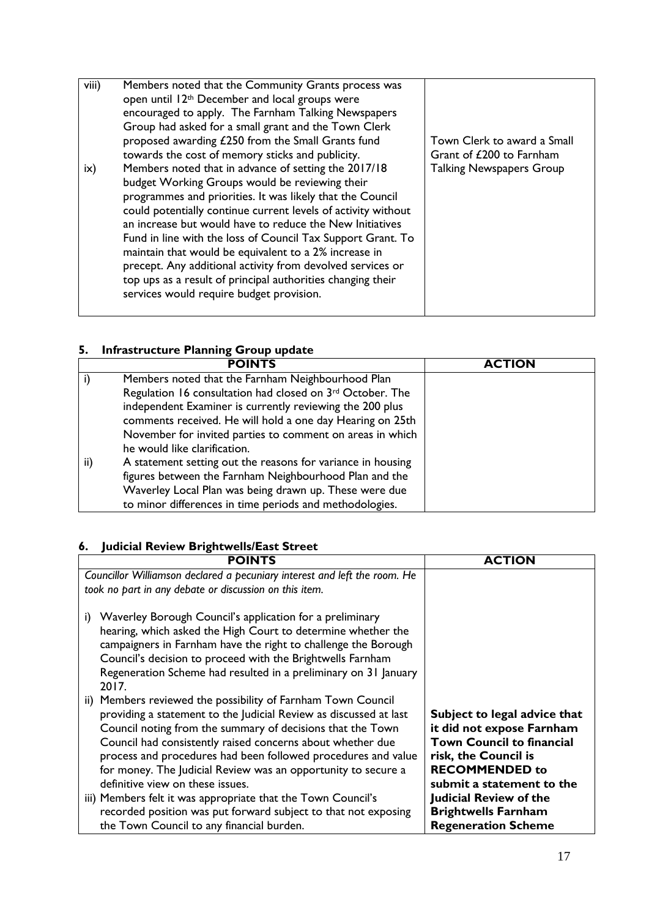| viii)      | Members noted that the Community Grants process was<br>open until 12 <sup>th</sup> December and local groups were<br>encouraged to apply. The Farnham Talking Newspapers<br>Group had asked for a small grant and the Town Clerk<br>proposed awarding £250 from the Small Grants fund<br>towards the cost of memory sticks and publicity.                                                                                                                                                                                                                                                         | Town Clerk to award a Small<br>Grant of £200 to Farnham |
|------------|---------------------------------------------------------------------------------------------------------------------------------------------------------------------------------------------------------------------------------------------------------------------------------------------------------------------------------------------------------------------------------------------------------------------------------------------------------------------------------------------------------------------------------------------------------------------------------------------------|---------------------------------------------------------|
| $i \times$ | Members noted that in advance of setting the 2017/18<br>budget Working Groups would be reviewing their<br>programmes and priorities. It was likely that the Council<br>could potentially continue current levels of activity without<br>an increase but would have to reduce the New Initiatives<br>Fund in line with the loss of Council Tax Support Grant. To<br>maintain that would be equivalent to a 2% increase in<br>precept. Any additional activity from devolved services or<br>top ups as a result of principal authorities changing their<br>services would require budget provision. | <b>Talking Newspapers Group</b>                         |

### **5. Infrastructure Planning Group update**

|     | <b>POINTS</b>                                               | <b>ACTION</b> |
|-----|-------------------------------------------------------------|---------------|
|     | Members noted that the Farnham Neighbourhood Plan           |               |
|     | Regulation 16 consultation had closed on 3rd October. The   |               |
|     | independent Examiner is currently reviewing the 200 plus    |               |
|     | comments received. He will hold a one day Hearing on 25th   |               |
|     | November for invited parties to comment on areas in which   |               |
|     | he would like clarification.                                |               |
| ii) | A statement setting out the reasons for variance in housing |               |
|     | figures between the Farnham Neighbourhood Plan and the      |               |
|     | Waverley Local Plan was being drawn up. These were due      |               |
|     | to minor differences in time periods and methodologies.     |               |

## **6. Judicial Review Brightwells/East Street**

| <b>POINTS</b>                                                             | <b>ACTION</b>                    |
|---------------------------------------------------------------------------|----------------------------------|
| Councillor Williamson declared a pecuniary interest and left the room. He |                                  |
| took no part in any debate or discussion on this item.                    |                                  |
|                                                                           |                                  |
| Waverley Borough Council's application for a preliminary<br>i)            |                                  |
| hearing, which asked the High Court to determine whether the              |                                  |
| campaigners in Farnham have the right to challenge the Borough            |                                  |
| Council's decision to proceed with the Brightwells Farnham                |                                  |
| Regeneration Scheme had resulted in a preliminary on 31 January           |                                  |
| 2017.                                                                     |                                  |
| ii) Members reviewed the possibility of Farnham Town Council              |                                  |
| providing a statement to the Judicial Review as discussed at last         | Subject to legal advice that     |
| Council noting from the summary of decisions that the Town                | it did not expose Farnham        |
| Council had consistently raised concerns about whether due                | <b>Town Council to financial</b> |
| process and procedures had been followed procedures and value             | risk, the Council is             |
| for money. The Judicial Review was an opportunity to secure a             | <b>RECOMMENDED to</b>            |
| definitive view on these issues.                                          | submit a statement to the        |
| iii) Members felt it was appropriate that the Town Council's              | Judicial Review of the           |
| recorded position was put forward subject to that not exposing            | <b>Brightwells Farnham</b>       |
| the Town Council to any financial burden.                                 | <b>Regeneration Scheme</b>       |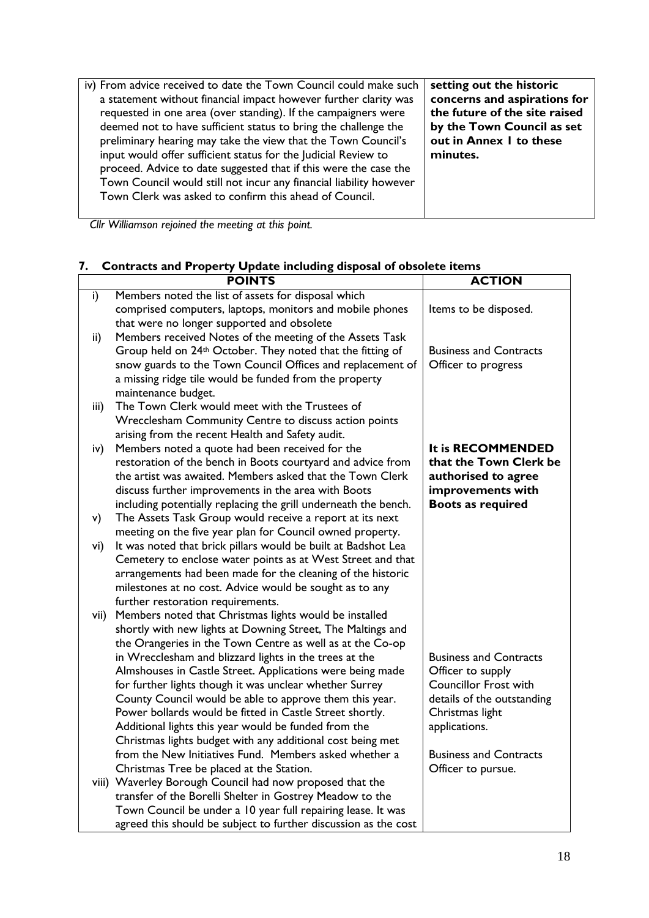| iv) From advice received to date the Town Council could make such  | setting out the historic      |
|--------------------------------------------------------------------|-------------------------------|
| a statement without financial impact however further clarity was   | concerns and aspirations for  |
| requested in one area (over standing). If the campaigners were     | the future of the site raised |
| deemed not to have sufficient status to bring the challenge the    | by the Town Council as set    |
| preliminary hearing may take the view that the Town Council's      | out in Annex I to these       |
| input would offer sufficient status for the Judicial Review to     | minutes.                      |
| proceed. Advice to date suggested that if this were the case the   |                               |
| Town Council would still not incur any financial liability however |                               |
| Town Clerk was asked to confirm this ahead of Council.             |                               |
|                                                                    |                               |

*Cllr Williamson rejoined the meeting at this point.*

## **7. Contracts and Property Update including disposal of obsolete items**

| Members noted the list of assets for disposal which<br>i)<br>comprised computers, laptops, monitors and mobile phones<br>Items to be disposed.<br>that were no longer supported and obsolete<br>Members received Notes of the meeting of the Assets Task<br>$\mathsf{ii}$<br>Group held on 24th October. They noted that the fitting of<br><b>Business and Contracts</b><br>snow guards to the Town Council Offices and replacement of<br>Officer to progress<br>a missing ridge tile would be funded from the property<br>maintenance budget.<br>The Town Clerk would meet with the Trustees of<br>iii)<br>Wrecclesham Community Centre to discuss action points<br>arising from the recent Health and Safety audit. |  |
|-----------------------------------------------------------------------------------------------------------------------------------------------------------------------------------------------------------------------------------------------------------------------------------------------------------------------------------------------------------------------------------------------------------------------------------------------------------------------------------------------------------------------------------------------------------------------------------------------------------------------------------------------------------------------------------------------------------------------|--|
|                                                                                                                                                                                                                                                                                                                                                                                                                                                                                                                                                                                                                                                                                                                       |  |
|                                                                                                                                                                                                                                                                                                                                                                                                                                                                                                                                                                                                                                                                                                                       |  |
|                                                                                                                                                                                                                                                                                                                                                                                                                                                                                                                                                                                                                                                                                                                       |  |
|                                                                                                                                                                                                                                                                                                                                                                                                                                                                                                                                                                                                                                                                                                                       |  |
|                                                                                                                                                                                                                                                                                                                                                                                                                                                                                                                                                                                                                                                                                                                       |  |
|                                                                                                                                                                                                                                                                                                                                                                                                                                                                                                                                                                                                                                                                                                                       |  |
|                                                                                                                                                                                                                                                                                                                                                                                                                                                                                                                                                                                                                                                                                                                       |  |
|                                                                                                                                                                                                                                                                                                                                                                                                                                                                                                                                                                                                                                                                                                                       |  |
|                                                                                                                                                                                                                                                                                                                                                                                                                                                                                                                                                                                                                                                                                                                       |  |
|                                                                                                                                                                                                                                                                                                                                                                                                                                                                                                                                                                                                                                                                                                                       |  |
|                                                                                                                                                                                                                                                                                                                                                                                                                                                                                                                                                                                                                                                                                                                       |  |
| Members noted a quote had been received for the<br>It is RECOMMENDED<br>iv)                                                                                                                                                                                                                                                                                                                                                                                                                                                                                                                                                                                                                                           |  |
| restoration of the bench in Boots courtyard and advice from<br>that the Town Clerk be                                                                                                                                                                                                                                                                                                                                                                                                                                                                                                                                                                                                                                 |  |
| the artist was awaited. Members asked that the Town Clerk<br>authorised to agree                                                                                                                                                                                                                                                                                                                                                                                                                                                                                                                                                                                                                                      |  |
| discuss further improvements in the area with Boots<br>improvements with                                                                                                                                                                                                                                                                                                                                                                                                                                                                                                                                                                                                                                              |  |
| <b>Boots as required</b><br>including potentially replacing the grill underneath the bench.                                                                                                                                                                                                                                                                                                                                                                                                                                                                                                                                                                                                                           |  |
| The Assets Task Group would receive a report at its next<br>v)                                                                                                                                                                                                                                                                                                                                                                                                                                                                                                                                                                                                                                                        |  |
| meeting on the five year plan for Council owned property.                                                                                                                                                                                                                                                                                                                                                                                                                                                                                                                                                                                                                                                             |  |
| It was noted that brick pillars would be built at Badshot Lea<br>vi)                                                                                                                                                                                                                                                                                                                                                                                                                                                                                                                                                                                                                                                  |  |
| Cemetery to enclose water points as at West Street and that                                                                                                                                                                                                                                                                                                                                                                                                                                                                                                                                                                                                                                                           |  |
| arrangements had been made for the cleaning of the historic                                                                                                                                                                                                                                                                                                                                                                                                                                                                                                                                                                                                                                                           |  |
| milestones at no cost. Advice would be sought as to any                                                                                                                                                                                                                                                                                                                                                                                                                                                                                                                                                                                                                                                               |  |
| further restoration requirements.                                                                                                                                                                                                                                                                                                                                                                                                                                                                                                                                                                                                                                                                                     |  |
| Members noted that Christmas lights would be installed<br>vii)                                                                                                                                                                                                                                                                                                                                                                                                                                                                                                                                                                                                                                                        |  |
| shortly with new lights at Downing Street, The Maltings and                                                                                                                                                                                                                                                                                                                                                                                                                                                                                                                                                                                                                                                           |  |
| the Orangeries in the Town Centre as well as at the Co-op                                                                                                                                                                                                                                                                                                                                                                                                                                                                                                                                                                                                                                                             |  |
| in Wrecclesham and blizzard lights in the trees at the<br><b>Business and Contracts</b>                                                                                                                                                                                                                                                                                                                                                                                                                                                                                                                                                                                                                               |  |
| Almshouses in Castle Street. Applications were being made<br>Officer to supply<br><b>Councillor Frost with</b>                                                                                                                                                                                                                                                                                                                                                                                                                                                                                                                                                                                                        |  |
| for further lights though it was unclear whether Surrey<br>County Council would be able to approve them this year.<br>details of the outstanding                                                                                                                                                                                                                                                                                                                                                                                                                                                                                                                                                                      |  |
| Power bollards would be fitted in Castle Street shortly.<br>Christmas light                                                                                                                                                                                                                                                                                                                                                                                                                                                                                                                                                                                                                                           |  |
| applications.<br>Additional lights this year would be funded from the                                                                                                                                                                                                                                                                                                                                                                                                                                                                                                                                                                                                                                                 |  |
| Christmas lights budget with any additional cost being met                                                                                                                                                                                                                                                                                                                                                                                                                                                                                                                                                                                                                                                            |  |
| from the New Initiatives Fund. Members asked whether a<br><b>Business and Contracts</b>                                                                                                                                                                                                                                                                                                                                                                                                                                                                                                                                                                                                                               |  |
| Christmas Tree be placed at the Station.<br>Officer to pursue.                                                                                                                                                                                                                                                                                                                                                                                                                                                                                                                                                                                                                                                        |  |
| viii) Waverley Borough Council had now proposed that the                                                                                                                                                                                                                                                                                                                                                                                                                                                                                                                                                                                                                                                              |  |
| transfer of the Borelli Shelter in Gostrey Meadow to the                                                                                                                                                                                                                                                                                                                                                                                                                                                                                                                                                                                                                                                              |  |
| Town Council be under a 10 year full repairing lease. It was                                                                                                                                                                                                                                                                                                                                                                                                                                                                                                                                                                                                                                                          |  |
| agreed this should be subject to further discussion as the cost                                                                                                                                                                                                                                                                                                                                                                                                                                                                                                                                                                                                                                                       |  |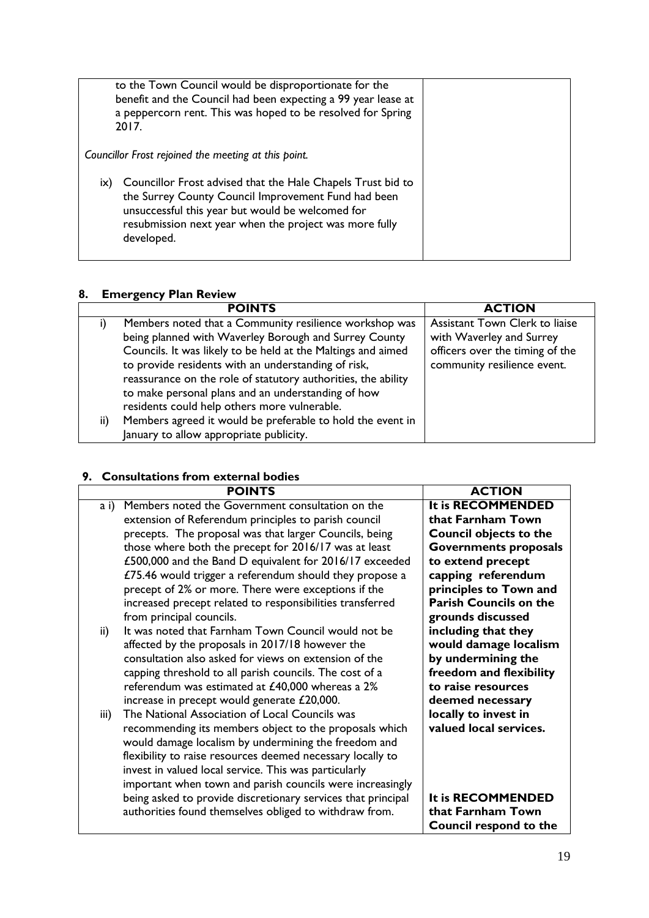| to the Town Council would be disproportionate for the<br>benefit and the Council had been expecting a 99 year lease at<br>a peppercorn rent. This was hoped to be resolved for Spring<br>2017.                                                        |  |
|-------------------------------------------------------------------------------------------------------------------------------------------------------------------------------------------------------------------------------------------------------|--|
| Councillor Frost rejoined the meeting at this point.                                                                                                                                                                                                  |  |
| Councillor Frost advised that the Hale Chapels Trust bid to<br>IX)<br>the Surrey County Council Improvement Fund had been<br>unsuccessful this year but would be welcomed for<br>resubmission next year when the project was more fully<br>developed. |  |

#### **8. Emergency Plan Review**

|     | <b>POINTS</b>                                                 | <b>ACTION</b>                   |
|-----|---------------------------------------------------------------|---------------------------------|
|     | Members noted that a Community resilience workshop was        | Assistant Town Clerk to liaise  |
|     | being planned with Waverley Borough and Surrey County         | with Waverley and Surrey        |
|     | Councils. It was likely to be held at the Maltings and aimed  | officers over the timing of the |
|     | to provide residents with an understanding of risk,           | community resilience event.     |
|     | reassurance on the role of statutory authorities, the ability |                                 |
|     | to make personal plans and an understanding of how            |                                 |
|     | residents could help others more vulnerable.                  |                                 |
| ii) | Members agreed it would be preferable to hold the event in    |                                 |
|     | January to allow appropriate publicity.                       |                                 |

### **9. Consultations from external bodies**

|      | <b>POINTS</b>                                                | <b>ACTION</b>                 |
|------|--------------------------------------------------------------|-------------------------------|
| a i) | Members noted the Government consultation on the             | It is RECOMMENDED             |
|      | extension of Referendum principles to parish council         | that Farnham Town             |
|      | precepts. The proposal was that larger Councils, being       | <b>Council objects to the</b> |
|      | those where both the precept for 2016/17 was at least        | <b>Governments proposals</b>  |
|      | £500,000 and the Band D equivalent for 2016/17 exceeded      | to extend precept             |
|      | £75.46 would trigger a referendum should they propose a      | capping referendum            |
|      | precept of 2% or more. There were exceptions if the          | principles to Town and        |
|      | increased precept related to responsibilities transferred    | <b>Parish Councils on the</b> |
|      | from principal councils.                                     | grounds discussed             |
| ii)  | It was noted that Farnham Town Council would not be          | including that they           |
|      | affected by the proposals in 2017/18 however the             | would damage localism         |
|      | consultation also asked for views on extension of the        | by undermining the            |
|      | capping threshold to all parish councils. The cost of a      | freedom and flexibility       |
|      | referendum was estimated at £40,000 whereas a 2%             | to raise resources            |
|      | increase in precept would generate £20,000.                  | deemed necessary              |
| iii) | The National Association of Local Councils was               | locally to invest in          |
|      | recommending its members object to the proposals which       | valued local services.        |
|      | would damage localism by undermining the freedom and         |                               |
|      | flexibility to raise resources deemed necessary locally to   |                               |
|      | invest in valued local service. This was particularly        |                               |
|      | important when town and parish councils were increasingly    |                               |
|      | being asked to provide discretionary services that principal | It is RECOMMENDED             |
|      | authorities found themselves obliged to withdraw from.       | that Farnham Town             |
|      |                                                              | Council respond to the        |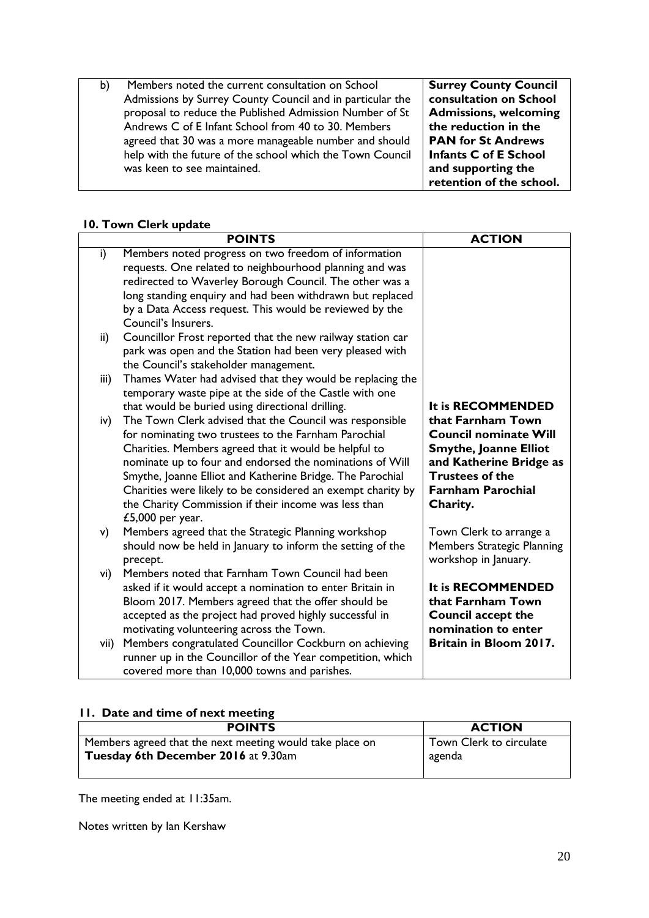b) Members noted the current consultation on School Admissions by Surrey County Council and in particular the proposal to reduce the Published Admission Number of St Andrews C of E Infant School from 40 to 30. Members agreed that 30 was a more manageable number and should help with the future of the school which the Town Council was keen to see maintained.

**Surrey County Council consultation on School Admissions, welcoming the reduction in the PAN for St Andrews Infants C of E School and supporting the retention of the school.**

#### **10. Town Clerk update**

|      | <b>POINTS</b>                                               | <b>ACTION</b>                |
|------|-------------------------------------------------------------|------------------------------|
| i)   | Members noted progress on two freedom of information        |                              |
|      | requests. One related to neighbourhood planning and was     |                              |
|      | redirected to Waverley Borough Council. The other was a     |                              |
|      | long standing enquiry and had been withdrawn but replaced   |                              |
|      | by a Data Access request. This would be reviewed by the     |                              |
|      | Council's Insurers.                                         |                              |
| ii)  | Councillor Frost reported that the new railway station car  |                              |
|      | park was open and the Station had been very pleased with    |                              |
|      | the Council's stakeholder management.                       |                              |
| iii) | Thames Water had advised that they would be replacing the   |                              |
|      | temporary waste pipe at the side of the Castle with one     |                              |
|      | that would be buried using directional drilling.            | It is RECOMMENDED            |
| iv)  | The Town Clerk advised that the Council was responsible     | that Farnham Town            |
|      | for nominating two trustees to the Farnham Parochial        | <b>Council nominate Will</b> |
|      | Charities. Members agreed that it would be helpful to       | <b>Smythe, Joanne Elliot</b> |
|      | nominate up to four and endorsed the nominations of Will    | and Katherine Bridge as      |
|      | Smythe, Joanne Elliot and Katherine Bridge. The Parochial   | <b>Trustees of the</b>       |
|      | Charities were likely to be considered an exempt charity by | <b>Farnham Parochial</b>     |
|      | the Charity Commission if their income was less than        | Charity.                     |
|      | $£5,000$ per year.                                          |                              |
| v)   | Members agreed that the Strategic Planning workshop         | Town Clerk to arrange a      |
|      | should now be held in January to inform the setting of the  | Members Strategic Planning   |
|      | precept.                                                    | workshop in January.         |
| vi)  | Members noted that Farnham Town Council had been            |                              |
|      | asked if it would accept a nomination to enter Britain in   | It is RECOMMENDED            |
|      | Bloom 2017. Members agreed that the offer should be         | that Farnham Town            |
|      | accepted as the project had proved highly successful in     | <b>Council accept the</b>    |
|      | motivating volunteering across the Town.                    | nomination to enter          |
| vii) | Members congratulated Councillor Cockburn on achieving      | Britain in Bloom 2017.       |
|      | runner up in the Councillor of the Year competition, which  |                              |
|      | covered more than 10,000 towns and parishes.                |                              |

#### **11. Date and time of next meeting**

| <b>POINTS</b>                                            | <b>ACTION</b>           |
|----------------------------------------------------------|-------------------------|
| Members agreed that the next meeting would take place on | Town Clerk to circulate |
| Tuesday 6th December 2016 at 9.30am                      | agenda                  |
|                                                          |                         |

The meeting ended at 11:35am.

Notes written by Ian Kershaw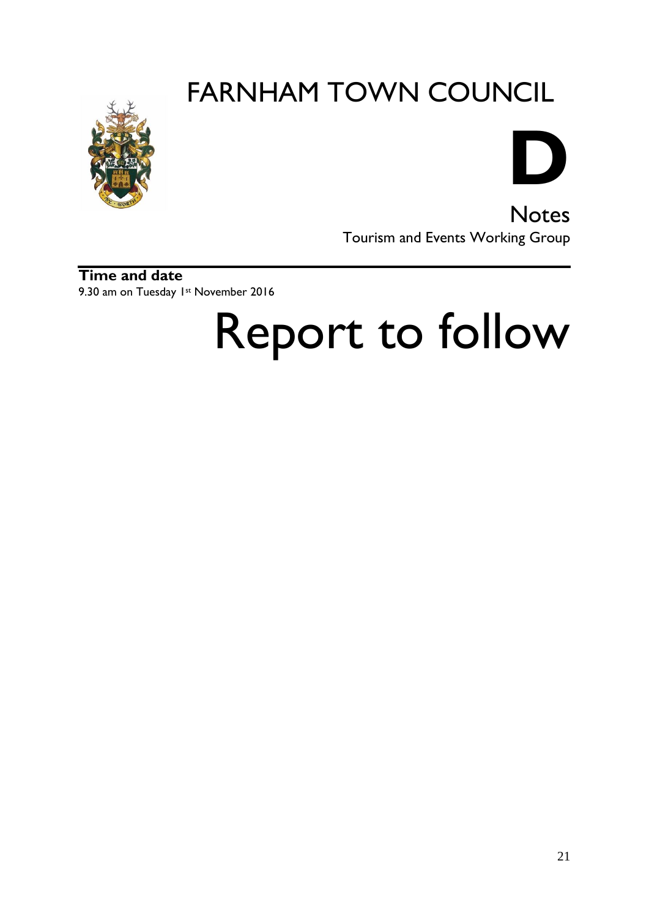



**Notes** Tourism and Events Working Group

**Time and date** 9.30 am on Tuesday 1st November 2016

# Report to follow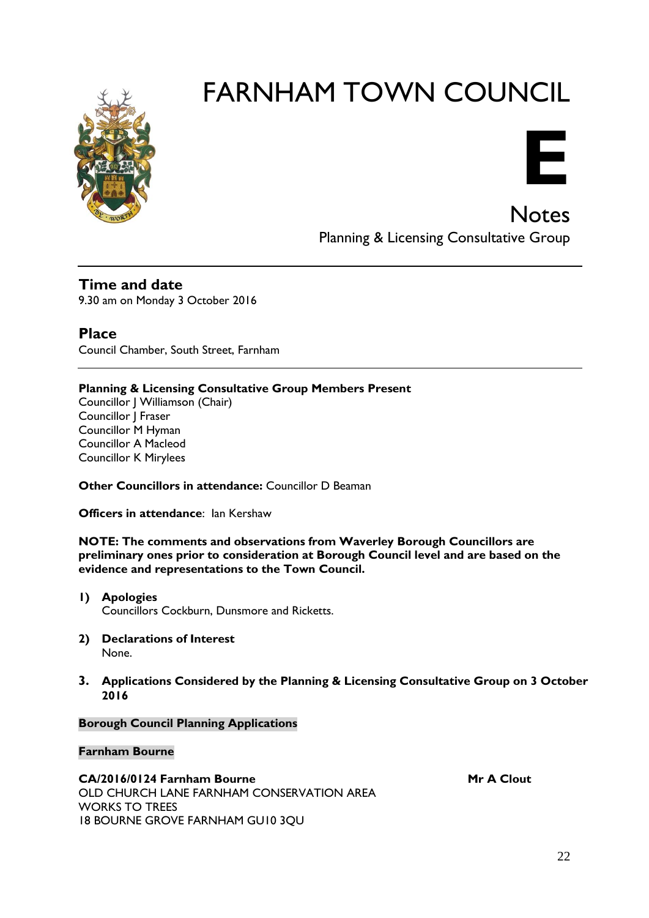



**Notes** Planning & Licensing Consultative Group

**Time and date** 9.30 am on Monday 3 October 2016

**Place** Council Chamber, South Street, Farnham

#### **Planning & Licensing Consultative Group Members Present**

Councillor J Williamson (Chair) Councillor J Fraser Councillor M Hyman Councillor A Macleod Councillor K Mirylees

**Other Councillors in attendance: Councillor D Beaman** 

**Officers in attendance:** Ian Kershaw

**NOTE: The comments and observations from Waverley Borough Councillors are preliminary ones prior to consideration at Borough Council level and are based on the evidence and representations to the Town Council.**

- **1) Apologies**  Councillors Cockburn, Dunsmore and Ricketts.
- **2) Declarations of Interest** None.
- **3. Applications Considered by the Planning & Licensing Consultative Group on 3 October 2016**

#### **Borough Council Planning Applications**

#### **Farnham Bourne**

CA/2016/0124 Farnham Bourne Mr A Clout OLD CHURCH LANE FARNHAM CONSERVATION AREA WORKS TO TREES 18 BOURNE GROVE FARNHAM GU10 3QU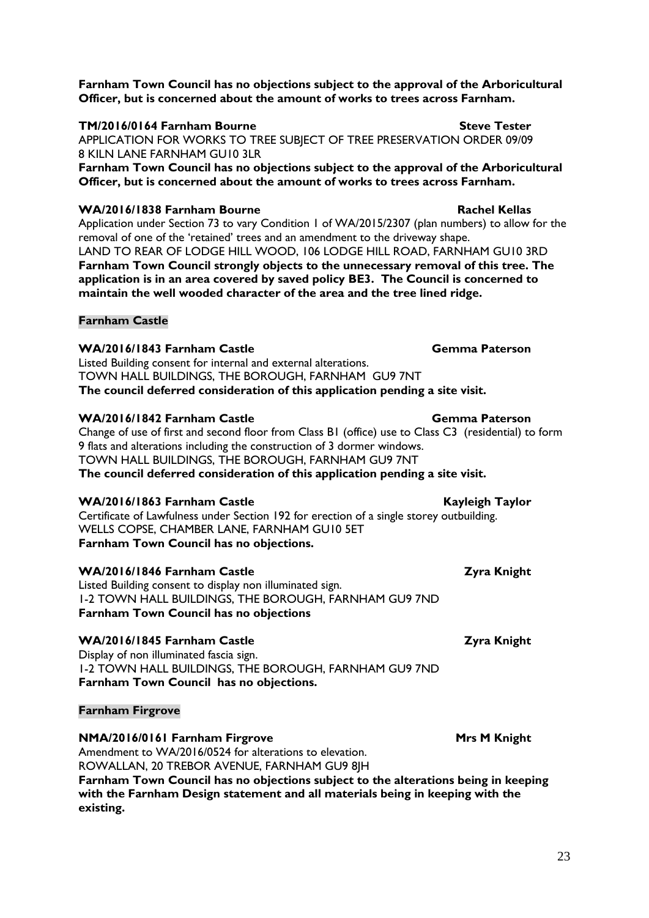**Farnham Town Council has no objections subject to the approval of the Arboricultural Officer, but is concerned about the amount of works to trees across Farnham.**

#### **TM/2016/0164 Farnham Bourne Steve Tester**

APPLICATION FOR WORKS TO TREE SUBJECT OF TREE PRESERVATION ORDER 09/09 8 KILN LANE FARNHAM GU10 3LR

**Farnham Town Council has no objections subject to the approval of the Arboricultural Officer, but is concerned about the amount of works to trees across Farnham.**

#### WA/2016/1838 Farnham Bourne **Rachel Kellas**

Application under Section 73 to vary Condition 1 of WA/2015/2307 (plan numbers) to allow for the removal of one of the 'retained' trees and an amendment to the driveway shape. LAND TO REAR OF LODGE HILL WOOD, 106 LODGE HILL ROAD, FARNHAM GU10 3RD **Farnham Town Council strongly objects to the unnecessary removal of this tree. The application is in an area covered by saved policy BE3. The Council is concerned to maintain the well wooded character of the area and the tree lined ridge.**

#### **Farnham Castle**

**WA/2016/1843 Farnham Castle Gemma Paterson** Listed Building consent for internal and external alterations. TOWN HALL BUILDINGS, THE BOROUGH, FARNHAM GU9 7NT **The council deferred consideration of this application pending a site visit.**

#### **WA/2016/1842 Farnham Castle Gemma Paterson**

Change of use of first and second floor from Class B1 (office) use to Class C3 (residential) to form 9 flats and alterations including the construction of 3 dormer windows. TOWN HALL BUILDINGS, THE BOROUGH, FARNHAM GU9 7NT **The council deferred consideration of this application pending a site visit.**

#### **WA/2016/1863 Farnham Castle Castle Kayleigh Taylor**

Certificate of Lawfulness under Section 192 for erection of a single storey outbuilding. WELLS COPSE, CHAMBER LANE, FARNHAM GU10 5ET **Farnham Town Council has no objections.**

#### **WA/2016/1846 Farnham Castle Zyra Knight**

Listed Building consent to display non illuminated sign. 1-2 TOWN HALL BUILDINGS, THE BOROUGH, FARNHAM GU9 7ND **Farnham Town Council has no objections**

#### **WA/2016/1845 Farnham Castle Zyra Knight**

Display of non illuminated fascia sign. 1-2 TOWN HALL BUILDINGS, THE BOROUGH, FARNHAM GU9 7ND **Farnham Town Council has no objections.**

#### **Farnham Firgrove**

**NMA/2016/0161 Farnham Firgrove Mrs M Knight** 

Amendment to WA/2016/0524 for alterations to elevation. ROWALLAN, 20 TREBOR AVENUE, FARNHAM GU9 8JH

**Farnham Town Council has no objections subject to the alterations being in keeping with the Farnham Design statement and all materials being in keeping with the existing.**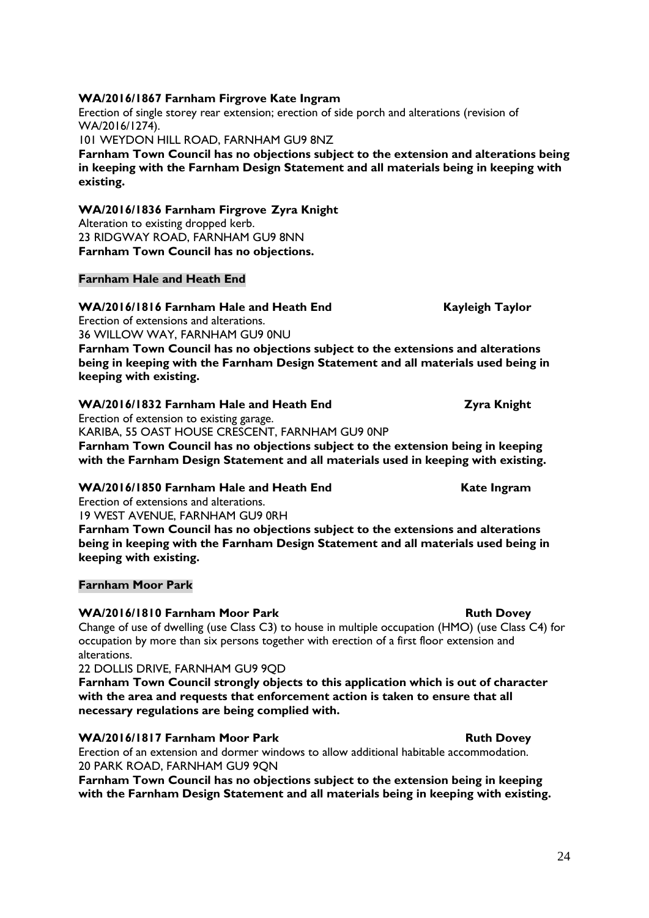### **WA/2016/1867 Farnham Firgrove Kate Ingram**

Erection of single storey rear extension; erection of side porch and alterations (revision of WA/2016/1274).

101 WEYDON HILL ROAD, FARNHAM GU9 8NZ

**Farnham Town Council has no objections subject to the extension and alterations being in keeping with the Farnham Design Statement and all materials being in keeping with existing.**

**WA/2016/1836 Farnham Firgrove Zyra Knight** Alteration to existing dropped kerb. 23 RIDGWAY ROAD, FARNHAM GU9 8NN **Farnham Town Council has no objections.**

#### **Farnham Hale and Heath End**

#### WA/2016/1816 Farnham Hale and Heath End Kayleigh Taylor Erection of extensions and alterations.

36 WILLOW WAY, FARNHAM GU9 0NU

**Farnham Town Council has no objections subject to the extensions and alterations being in keeping with the Farnham Design Statement and all materials used being in keeping with existing.**

### WA/2016/1832 Farnham Hale and Heath End **Zyra Knight**

Erection of extension to existing garage. KARIBA, 55 OAST HOUSE CRESCENT, FARNHAM GU9 0NP

**Farnham Town Council has no objections subject to the extension being in keeping with the Farnham Design Statement and all materials used in keeping with existing.**

#### WA/2016/1850 Farnham Hale and Heath End Kate Ingram

Erection of extensions and alterations.

19 WEST AVENUE, FARNHAM GU9 0RH

**Farnham Town Council has no objections subject to the extensions and alterations being in keeping with the Farnham Design Statement and all materials used being in keeping with existing.**

#### **Farnham Moor Park**

## **WA/2016/1810 Farnham Moor Park Ruth Dovey Ruth Dovey**

Change of use of dwelling (use Class C3) to house in multiple occupation (HMO) (use Class C4) for occupation by more than six persons together with erection of a first floor extension and alterations.

22 DOLLIS DRIVE, FARNHAM GU9 9QD

**Farnham Town Council strongly objects to this application which is out of character with the area and requests that enforcement action is taken to ensure that all necessary regulations are being complied with.**

## **WA/2016/1817 Farnham Moor Park Ruth Dovey**

Erection of an extension and dormer windows to allow additional habitable accommodation. 20 PARK ROAD, FARNHAM GU9 9QN

**Farnham Town Council has no objections subject to the extension being in keeping with the Farnham Design Statement and all materials being in keeping with existing.**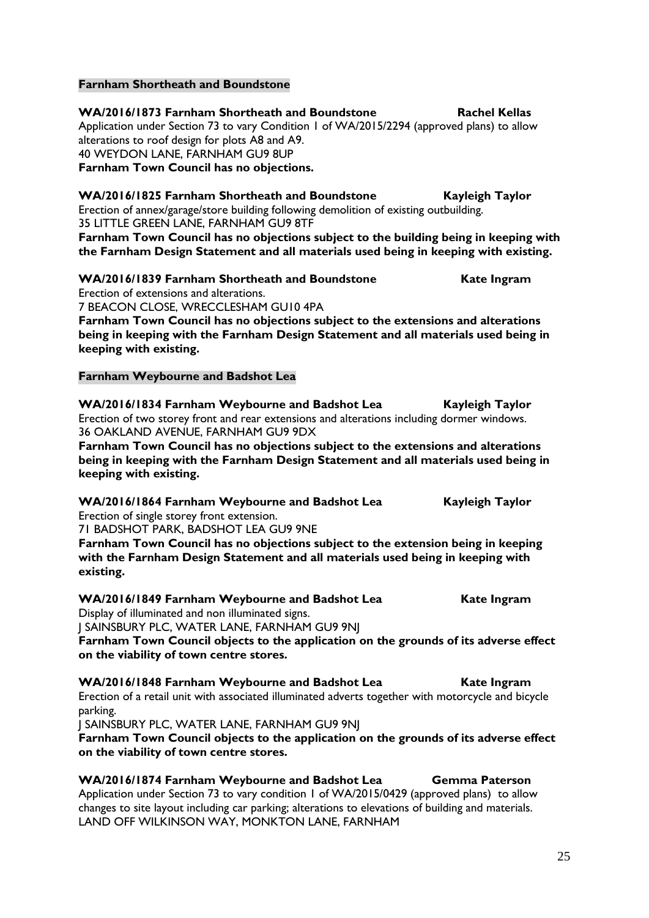#### **Farnham Shortheath and Boundstone**

**WA/2016/1873 Farnham Shortheath and Boundstone Rachel Kellas** Application under Section 73 to vary Condition 1 of WA/2015/2294 (approved plans) to allow alterations to roof design for plots A8 and A9. 40 WEYDON LANE, FARNHAM GU9 8UP **Farnham Town Council has no objections.**

**WA/2016/1825 Farnham Shortheath and Boundstone Kayleigh Taylor** Erection of annex/garage/store building following demolition of existing outbuilding. 35 LITTLE GREEN LANE, FARNHAM GU9 8TF

**Farnham Town Council has no objections subject to the building being in keeping with the Farnham Design Statement and all materials used being in keeping with existing.**

**WA/2016/1839 Farnham Shortheath and Boundstone Kate Ingram** Erection of extensions and alterations. 7 BEACON CLOSE, WRECCLESHAM GU10 4PA

**Farnham Town Council has no objections subject to the extensions and alterations being in keeping with the Farnham Design Statement and all materials used being in keeping with existing.**

#### **Farnham Weybourne and Badshot Lea**

**WA/2016/1834 Farnham Weybourne and Badshot Lea Kayleigh Taylor** Erection of two storey front and rear extensions and alterations including dormer windows. 36 OAKLAND AVENUE, FARNHAM GU9 9DX

**Farnham Town Council has no objections subject to the extensions and alterations being in keeping with the Farnham Design Statement and all materials used being in keeping with existing.**

**WA/2016/1864 Farnham Weybourne and Badshot Lea Kayleigh Taylor**

Erection of single storey front extension. 71 BADSHOT PARK, BADSHOT LEA GU9 9NE

**Farnham Town Council has no objections subject to the extension being in keeping with the Farnham Design Statement and all materials used being in keeping with existing.**

#### **WA/2016/1849 Farnham Weybourne and Badshot Lea Kate Ingram** Display of illuminated and non illuminated signs.

J SAINSBURY PLC, WATER LANE, FARNHAM GU9 9NJ

**Farnham Town Council objects to the application on the grounds of its adverse effect on the viability of town centre stores.**

**WA/2016/1848 Farnham Weybourne and Badshot Lea Kate Ingram** Erection of a retail unit with associated illuminated adverts together with motorcycle and bicycle parking.

J SAINSBURY PLC, WATER LANE, FARNHAM GU9 9NJ

**Farnham Town Council objects to the application on the grounds of its adverse effect on the viability of town centre stores.**

**WA/2016/1874 Farnham Weybourne and Badshot Lea Gemma Paterson** Application under Section 73 to vary condition 1 of WA/2015/0429 (approved plans) to allow changes to site layout including car parking; alterations to elevations of building and materials. LAND OFF WILKINSON WAY, MONKTON LANE, FARNHAM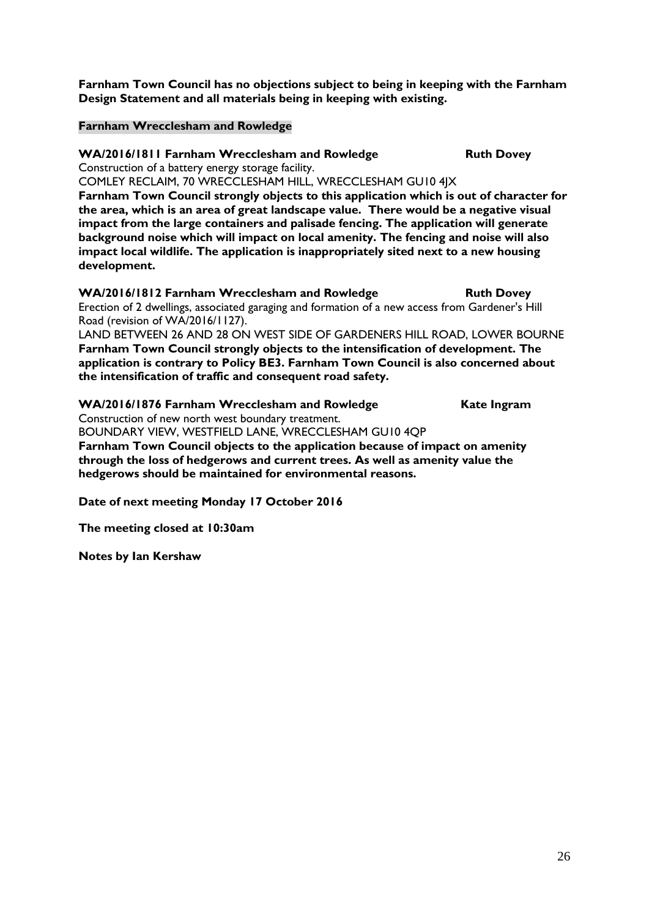**Farnham Town Council has no objections subject to being in keeping with the Farnham Design Statement and all materials being in keeping with existing.**

#### **Farnham Wrecclesham and Rowledge**

**WA/2016/1811 Farnham Wrecclesham and Rowledge Ruth Dovey** 

Construction of a battery energy storage facility.

COMLEY RECLAIM, 70 WRECCLESHAM HILL, WRECCLESHAM GU10 4JX **Farnham Town Council strongly objects to this application which is out of character for the area, which is an area of great landscape value. There would be a negative visual impact from the large containers and palisade fencing. The application will generate background noise which will impact on local amenity. The fencing and noise will also impact local wildlife. The application is inappropriately sited next to a new housing development.** 

**WA/2016/1812 Farnham Wrecclesham and Rowledge Ruth Dovey** Erection of 2 dwellings, associated garaging and formation of a new access from Gardener's Hill Road (revision of WA/2016/1127).

LAND BETWEEN 26 AND 28 ON WEST SIDE OF GARDENERS HILL ROAD, LOWER BOURNE **Farnham Town Council strongly objects to the intensification of development. The application is contrary to Policy BE3. Farnham Town Council is also concerned about the intensification of traffic and consequent road safety.**

**WA/2016/1876 Farnham Wrecclesham and Rowledge Kate Ingram** Construction of new north west boundary treatment. BOUNDARY VIEW, WESTFIELD LANE, WRECCLESHAM GU10 4QP

**Farnham Town Council objects to the application because of impact on amenity through the loss of hedgerows and current trees. As well as amenity value the hedgerows should be maintained for environmental reasons.**

**Date of next meeting Monday 17 October 2016** 

**The meeting closed at 10:30am**

**Notes by Ian Kershaw**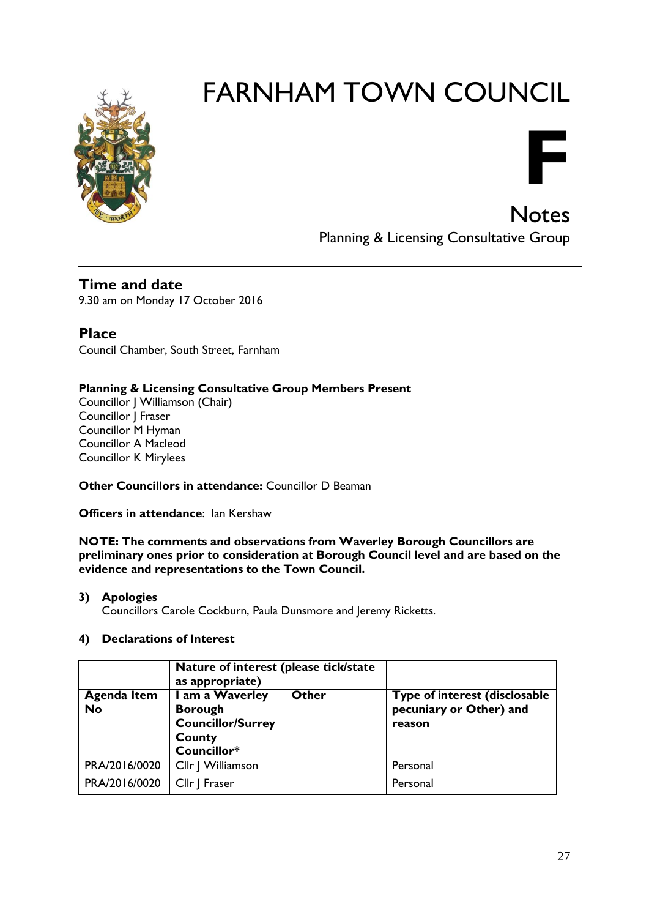

**F Notes** 

Planning & Licensing Consultative Group

**Time and date** 9.30 am on Monday 17 October 2016

**Place** Council Chamber, South Street, Farnham

#### **Planning & Licensing Consultative Group Members Present**

Councillor J Williamson (Chair) Councillor J Fraser Councillor M Hyman Councillor A Macleod Councillor K Mirylees

**Other Councillors in attendance: Councillor D Beaman** 

**Officers in attendance:** Ian Kershaw

**NOTE: The comments and observations from Waverley Borough Councillors are preliminary ones prior to consideration at Borough Council level and are based on the evidence and representations to the Town Council.**

#### **3) Apologies**

Councillors Carole Cockburn, Paula Dunsmore and Jeremy Ricketts.

#### **4) Declarations of Interest**

|                          | Nature of interest (please tick/state<br>as appropriate)                               |       |                                                                    |
|--------------------------|----------------------------------------------------------------------------------------|-------|--------------------------------------------------------------------|
| <b>Agenda Item</b><br>No | I am a Waverley<br><b>Borough</b><br><b>Councillor/Surrey</b><br>County<br>Councillor* | Other | Type of interest (disclosable<br>pecuniary or Other) and<br>reason |
| PRA/2016/0020            | Cllr   Williamson                                                                      |       | Personal                                                           |
| PRA/2016/0020            | Cllr   Fraser                                                                          |       | Personal                                                           |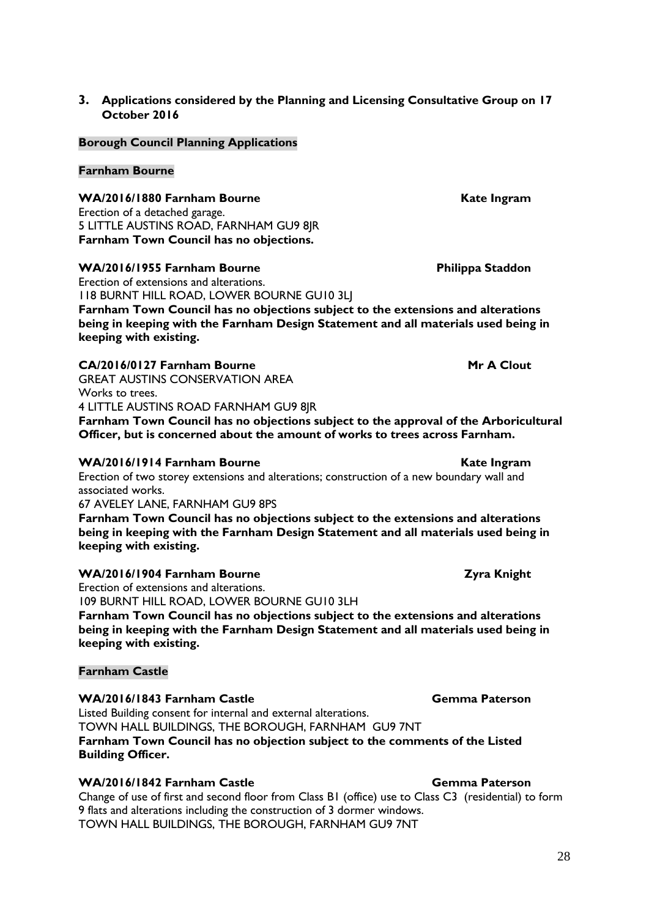#### **3. Applications considered by the Planning and Licensing Consultative Group on 17 October 2016**

#### **Borough Council Planning Applications**

#### **Farnham Bourne**

**WA/2016/1880 Farnham Bourne Kate Ingram** 

Erection of a detached garage. 5 LITTLE AUSTINS ROAD, FARNHAM GU9 8JR **Farnham Town Council has no objections.**

#### WA/2016/1955 Farnham Bourne **Manual Staddon** Philippa Staddon

Erection of extensions and alterations. 118 BURNT HILL ROAD, LOWER BOURNE GU10 3LJ **Farnham Town Council has no objections subject to the extensions and alterations being in keeping with the Farnham Design Statement and all materials used being in keeping with existing.**

#### **CA/2016/0127 Farnham Bourne Mr A Clout**

GREAT AUSTINS CONSERVATION AREA Works to trees. 4 LITTLE AUSTINS ROAD FARNHAM GU9 8JR **Farnham Town Council has no objections subject to the approval of the Arboricultural Officer, but is concerned about the amount of works to trees across Farnham.**

#### WA/2016/1914 Farnham Bourne **Kate Ingram**

Erection of two storey extensions and alterations; construction of a new boundary wall and associated works.

67 AVELEY LANE, FARNHAM GU9 8PS

**Farnham Town Council has no objections subject to the extensions and alterations being in keeping with the Farnham Design Statement and all materials used being in keeping with existing.**

#### **WA/2016/1904 Farnham Bourne Zyra Knight**

Erection of extensions and alterations. 109 BURNT HILL ROAD, LOWER BOURNE GU10 3LH **Farnham Town Council has no objections subject to the extensions and alterations being in keeping with the Farnham Design Statement and all materials used being in keeping with existing.**

#### **Farnham Castle**

#### **WA/2016/1843 Farnham Castle Gemma Paterson**

Listed Building consent for internal and external alterations.

TOWN HALL BUILDINGS, THE BOROUGH, FARNHAM GU9 7NT

#### **Farnham Town Council has no objection subject to the comments of the Listed Building Officer.**

#### **WA/2016/1842 Farnham Castle Gemma Paterson**

Change of use of first and second floor from Class B1 (office) use to Class C3 (residential) to form 9 flats and alterations including the construction of 3 dormer windows. TOWN HALL BUILDINGS, THE BOROUGH, FARNHAM GU9 7NT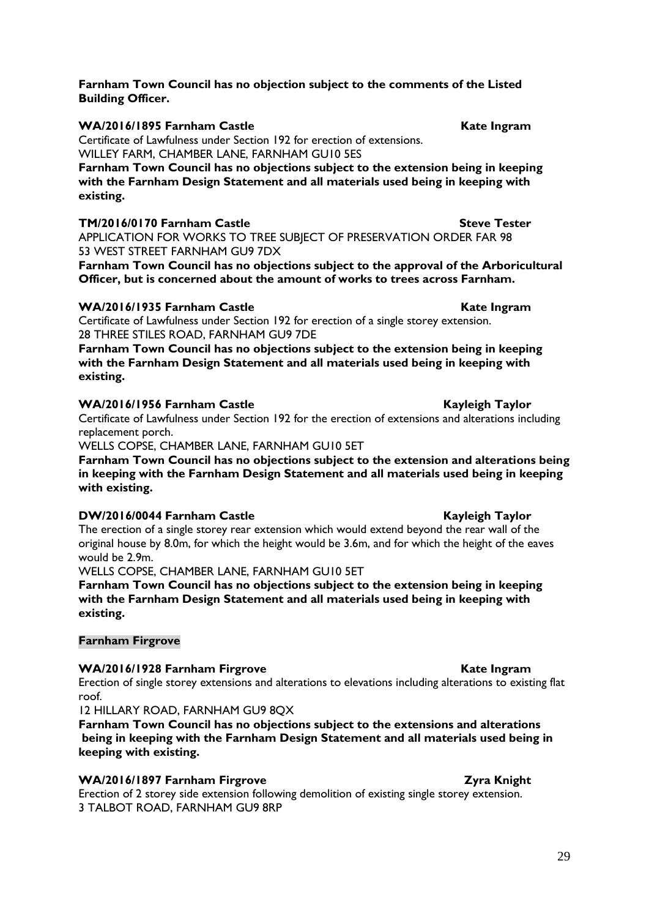#### **Farnham Town Council has no objection subject to the comments of the Listed Building Officer.**

**WA/2016/1895 Farnham Castle Castle Kate Ingram** 

Certificate of Lawfulness under Section 192 for erection of extensions. WILLEY FARM, CHAMBER LANE, FARNHAM GU10 5ES

**Farnham Town Council has no objections subject to the extension being in keeping with the Farnham Design Statement and all materials used being in keeping with existing.**

#### **TM/2016/0170 Farnham Castle Steve Tester**

APPLICATION FOR WORKS TO TREE SUBJECT OF PRESERVATION ORDER FAR 98 53 WEST STREET FARNHAM GU9 7DX

**Farnham Town Council has no objections subject to the approval of the Arboricultural Officer, but is concerned about the amount of works to trees across Farnham.**

#### WA/2016/1935 Farnham Castle **Kate Ingram**

Certificate of Lawfulness under Section 192 for erection of a single storey extension. 28 THREE STILES ROAD, FARNHAM GU9 7DE

**Farnham Town Council has no objections subject to the extension being in keeping with the Farnham Design Statement and all materials used being in keeping with existing.**

#### WA/2016/1956 Farnham Castle Kayleigh Taylor

Certificate of Lawfulness under Section 192 for the erection of extensions and alterations including replacement porch.

WELLS COPSE, CHAMBER LANE, FARNHAM GU10 5ET

**Farnham Town Council has no objections subject to the extension and alterations being in keeping with the Farnham Design Statement and all materials used being in keeping with existing.**

#### **DW/2016/0044 Farnham Castle Kayleigh Taylor**

The erection of a single storey rear extension which would extend beyond the rear wall of the original house by 8.0m, for which the height would be 3.6m, and for which the height of the eaves would be 2.9m.

WELLS COPSE, CHAMBER LANE, FARNHAM GU10 5ET

**Farnham Town Council has no objections subject to the extension being in keeping with the Farnham Design Statement and all materials used being in keeping with existing.**

#### **Farnham Firgrove**

#### WA/2016/1928 Farnham Firgrove **Kate Ingram**

Erection of single storey extensions and alterations to elevations including alterations to existing flat roof.

12 HILLARY ROAD, FARNHAM GU9 8QX

**Farnham Town Council has no objections subject to the extensions and alterations being in keeping with the Farnham Design Statement and all materials used being in keeping with existing.**

#### **WA/2016/1897 Farnham Firgrove Zyra Knight**

Erection of 2 storey side extension following demolition of existing single storey extension. 3 TALBOT ROAD, FARNHAM GU9 8RP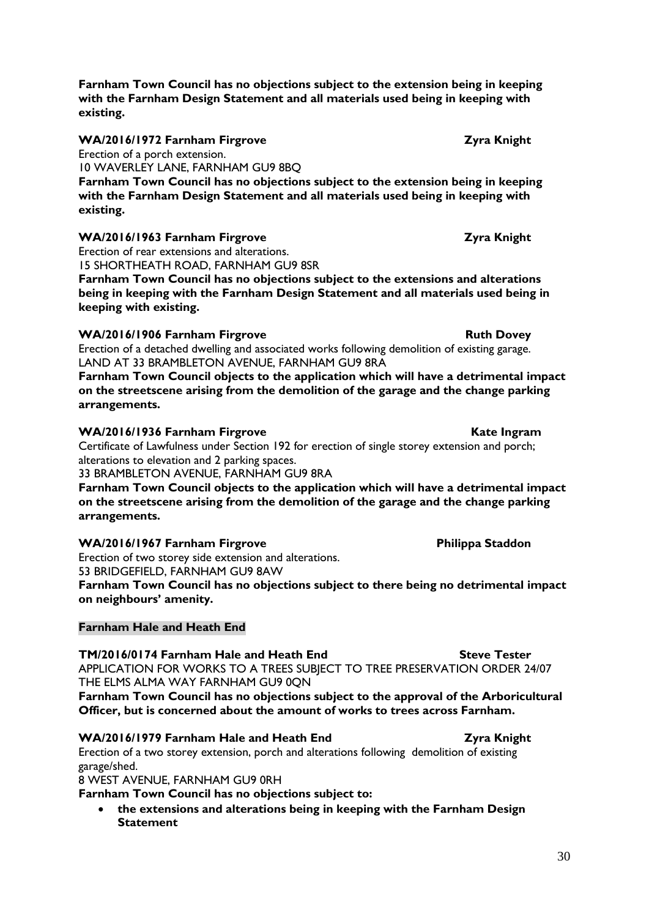**Farnham Town Council has no objections subject to the extension being in keeping with the Farnham Design Statement and all materials used being in keeping with existing.**

**WA/2016/1972 Farnham Firgrove Zyra Knight**

Erection of a porch extension.

10 WAVERLEY LANE, FARNHAM GU9 8BQ

**Farnham Town Council has no objections subject to the extension being in keeping with the Farnham Design Statement and all materials used being in keeping with existing.**

#### **WA/2016/1963 Farnham Firgrove Zyra Knight**

Erection of rear extensions and alterations. 15 SHORTHEATH ROAD, FARNHAM GU9 8SR

**Farnham Town Council has no objections subject to the extensions and alterations being in keeping with the Farnham Design Statement and all materials used being in keeping with existing.**

#### **WA/2016/1906 Farnham Firgrove Ruth Dovey** Ruth Dovey

Erection of a detached dwelling and associated works following demolition of existing garage. LAND AT 33 BRAMBLETON AVENUE, FARNHAM GU9 8RA

**Farnham Town Council objects to the application which will have a detrimental impact on the streetscene arising from the demolition of the garage and the change parking arrangements.**

#### **WA/2016/1936 Farnham Firgrove Kate Ingram**

Certificate of Lawfulness under Section 192 for erection of single storey extension and porch; alterations to elevation and 2 parking spaces.

33 BRAMBLETON AVENUE, FARNHAM GU9 8RA

**Farnham Town Council objects to the application which will have a detrimental impact on the streetscene arising from the demolition of the garage and the change parking arrangements.**

#### **WA/2016/1967 Farnham Firgrove Philippa Staddon**

Erection of two storey side extension and alterations. 53 BRIDGEFIELD, FARNHAM GU9 8AW

**Farnham Town Council has no objections subject to there being no detrimental impact on neighbours' amenity.**

#### **Farnham Hale and Heath End**

**TM/2016/0174 Farnham Hale and Heath End Steve Tester** APPLICATION FOR WORKS TO A TREES SUBJECT TO TREE PRESERVATION ORDER 24/07 THE ELMS ALMA WAY FARNHAM GU9 0QN

**Farnham Town Council has no objections subject to the approval of the Arboricultural Officer, but is concerned about the amount of works to trees across Farnham.**

#### **WA/2016/1979 Farnham Hale and Heath End Zyra Knight**

Erection of a two storey extension, porch and alterations following demolition of existing garage/shed.

8 WEST AVENUE, FARNHAM GU9 0RH

**Farnham Town Council has no objections subject to:**

 **the extensions and alterations being in keeping with the Farnham Design Statement**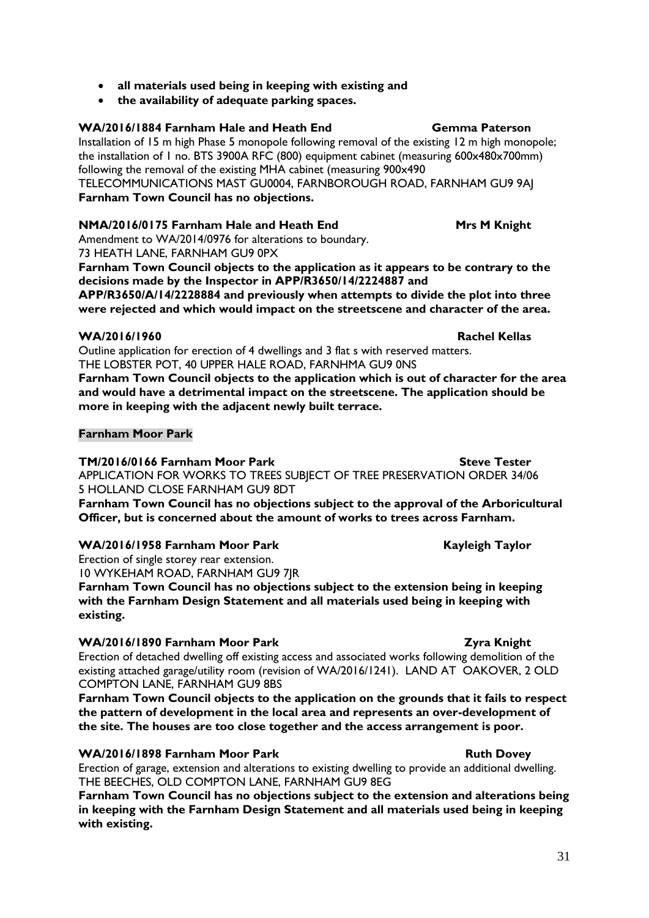#### **all materials used being in keeping with existing and**

**the availability of adequate parking spaces.**

#### **WA/2016/1884 Farnham Hale and Heath End Gemma Paterson**

Installation of 15 m high Phase 5 monopole following removal of the existing 12 m high monopole; the installation of 1 no. BTS 3900A RFC (800) equipment cabinet (measuring 600x480x700mm) following the removal of the existing MHA cabinet (measuring 900x490 TELECOMMUNICATIONS MAST GU0004, FARNBOROUGH ROAD, FARNHAM GU9 9AJ

## **Farnham Town Council has no objections.**

#### **NMA/2016/0175 Farnham Hale and Heath End Mrs M Knight**

Amendment to WA/2014/0976 for alterations to boundary. 73 HEATH LANE, FARNHAM GU9 0PX

**Farnham Town Council objects to the application as it appears to be contrary to the decisions made by the Inspector in APP/R3650/14/2224887 and** 

**APP/R3650/A/14/2228884 and previously when attempts to divide the plot into three were rejected and which would impact on the streetscene and character of the area.**

#### **WA/2016/1960 Rachel Kellas**

Outline application for erection of 4 dwellings and 3 flat s with reserved matters. THE LOBSTER POT, 40 UPPER HALE ROAD, FARNHMA GU9 0NS

**Farnham Town Council objects to the application which is out of character for the area and would have a detrimental impact on the streetscene. The application should be more in keeping with the adjacent newly built terrace.**

#### **Farnham Moor Park**

#### **TM/2016/0166 Farnham Moor Park Steve Tester**

APPLICATION FOR WORKS TO TREES SUBJECT OF TREE PRESERVATION ORDER 34/06 5 HOLLAND CLOSE FARNHAM GU9 8DT

**Farnham Town Council has no objections subject to the approval of the Arboricultural Officer, but is concerned about the amount of works to trees across Farnham.**

#### **WA/2016/1958 Farnham Moor Park Communist Communist Rayleigh Taylor**

Erection of single storey rear extension.

10 WYKEHAM ROAD, FARNHAM GU9 7JR

**Farnham Town Council has no objections subject to the extension being in keeping with the Farnham Design Statement and all materials used being in keeping with existing.**

#### **WA/2016/1890 Farnham Moor Park Channel Communist Communist Park Channel Zyra Knight**

Erection of detached dwelling off existing access and associated works following demolition of the existing attached garage/utility room (revision of WA/2016/1241). LAND AT OAKOVER, 2 OLD COMPTON LANE, FARNHAM GU9 8BS

**Farnham Town Council objects to the application on the grounds that it fails to respect the pattern of development in the local area and represents an over-development of the site. The houses are too close together and the access arrangement is poor.** 

#### **WA/2016/1898 Farnham Moor Park Ruth Dovey** Ruth Dovey

Erection of garage, extension and alterations to existing dwelling to provide an additional dwelling. THE BEECHES, OLD COMPTON LANE, FARNHAM GU9 8EG

**Farnham Town Council has no objections subject to the extension and alterations being in keeping with the Farnham Design Statement and all materials used being in keeping with existing.**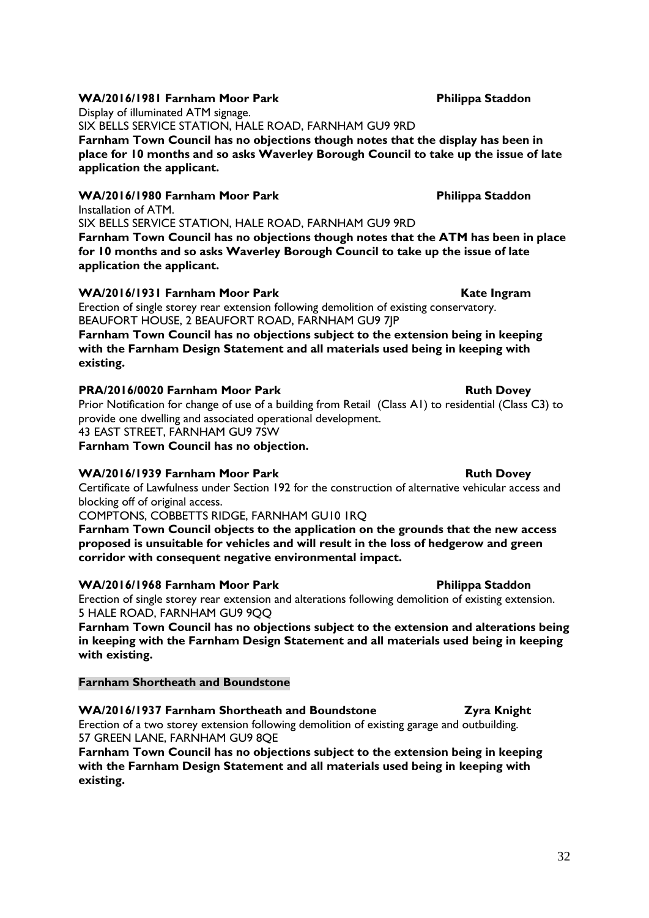#### **WA/2016/1981 Farnham Moor Park Philippa Staddon**

Display of illuminated ATM signage. SIX BELLS SERVICE STATION, HALE ROAD, FARNHAM GU9 9RD **Farnham Town Council has no objections though notes that the display has been in place for 10 months and so asks Waverley Borough Council to take up the issue of late application the applicant.**

#### WA/2016/1980 Farnham Moor Park **Philippa Staddon** Installation of ATM.

SIX BELLS SERVICE STATION, HALE ROAD, FARNHAM GU9 9RD **Farnham Town Council has no objections though notes that the ATM has been in place for 10 months and so asks Waverley Borough Council to take up the issue of late application the applicant.**

#### WA/2016/1931 Farnham Moor Park **Kate Ingram**

Erection of single storey rear extension following demolition of existing conservatory. BEAUFORT HOUSE, 2 BEAUFORT ROAD, FARNHAM GU9 7JP

**Farnham Town Council has no objections subject to the extension being in keeping with the Farnham Design Statement and all materials used being in keeping with existing.**

#### **PRA/2016/0020 Farnham Moor Park Ruth Dovey**

Prior Notification for change of use of a building from Retail (Class A1) to residential (Class C3) to provide one dwelling and associated operational development. 43 EAST STREET, FARNHAM GU9 7SW

**Farnham Town Council has no objection.**

#### **WA/2016/1939 Farnham Moor Park Ruth Dovey** Ruth Dovey

Certificate of Lawfulness under Section 192 for the construction of alternative vehicular access and blocking off of original access.

COMPTONS, COBBETTS RIDGE, FARNHAM GU10 1RQ

**Farnham Town Council objects to the application on the grounds that the new access proposed is unsuitable for vehicles and will result in the loss of hedgerow and green corridor with consequent negative environmental impact.**

#### WA/2016/1968 Farnham Moor Park **Philippa Staddon**

Erection of single storey rear extension and alterations following demolition of existing extension. 5 HALE ROAD, FARNHAM GU9 9QQ

**Farnham Town Council has no objections subject to the extension and alterations being in keeping with the Farnham Design Statement and all materials used being in keeping with existing.**

#### **Farnham Shortheath and Boundstone**

**WA/2016/1937 Farnham Shortheath and Boundstone Zyra Knight**

Erection of a two storey extension following demolition of existing garage and outbuilding. 57 GREEN LANE, FARNHAM GU9 8QE

**Farnham Town Council has no objections subject to the extension being in keeping with the Farnham Design Statement and all materials used being in keeping with existing.**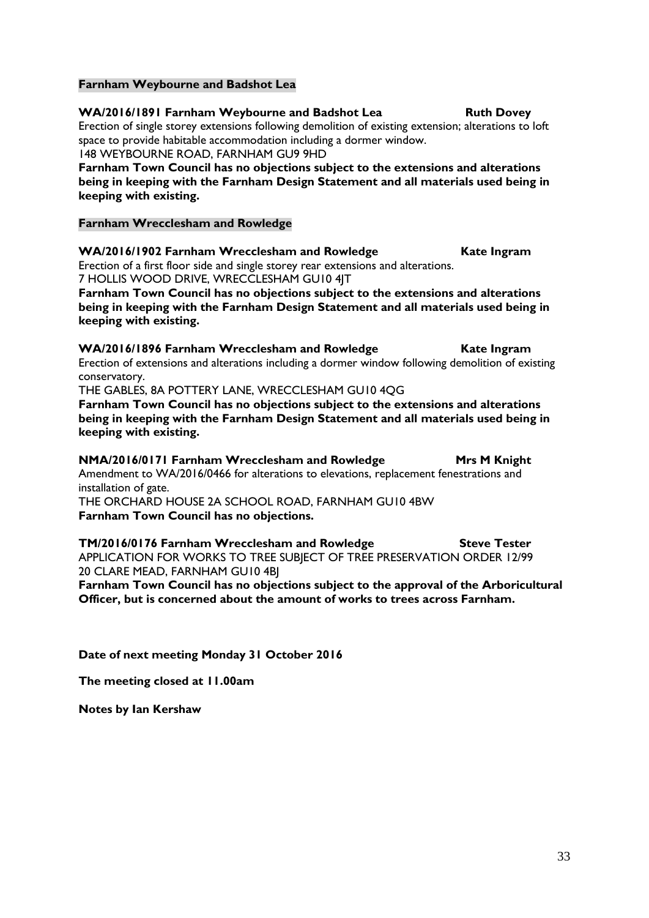#### **Farnham Weybourne and Badshot Lea**

**WA/2016/1891 Farnham Weybourne and Badshot Lea Ruth Dovey** Erection of single storey extensions following demolition of existing extension; alterations to loft space to provide habitable accommodation including a dormer window. 148 WEYBOURNE ROAD, FARNHAM GU9 9HD

**Farnham Town Council has no objections subject to the extensions and alterations being in keeping with the Farnham Design Statement and all materials used being in keeping with existing.**

#### **Farnham Wrecclesham and Rowledge**

**WA/2016/1902 Farnham Wrecclesham and Rowledge Kate Ingram** Erection of a first floor side and single storey rear extensions and alterations. 7 HOLLIS WOOD DRIVE, WRECCLESHAM GU10 4JT

**Farnham Town Council has no objections subject to the extensions and alterations being in keeping with the Farnham Design Statement and all materials used being in keeping with existing.**

**WA/2016/1896 Farnham Wrecclesham and Rowledge Kate Ingram** Erection of extensions and alterations including a dormer window following demolition of existing conservatory.

THE GABLES, 8A POTTERY LANE, WRECCLESHAM GU10 4QG

**Farnham Town Council has no objections subject to the extensions and alterations being in keeping with the Farnham Design Statement and all materials used being in keeping with existing.**

**NMA/2016/0171 Farnham Wrecclesham and Rowledge Mrs M Knight** Amendment to WA/2016/0466 for alterations to elevations, replacement fenestrations and installation of gate. THE ORCHARD HOUSE 2A SCHOOL ROAD, FARNHAM GU10 4BW

**Farnham Town Council has no objections.**

**TM/2016/0176 Farnham Wrecclesham and Rowledge Steve Tester** APPLICATION FOR WORKS TO TREE SUBJECT OF TREE PRESERVATION ORDER 12/99 20 CLARE MEAD, FARNHAM GU10 4BJ

**Farnham Town Council has no objections subject to the approval of the Arboricultural Officer, but is concerned about the amount of works to trees across Farnham.**

**Date of next meeting Monday 31 October 2016** 

**The meeting closed at 11.00am**

**Notes by Ian Kershaw**